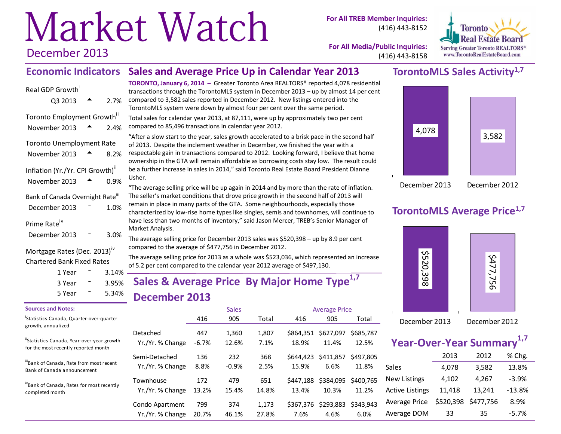# Market Watch December 2013

**For All TREB Member Inquiries:** (416) 443-8152



**For All Media/Public Inquiries:** (416) 443-8158

#### **Sales and Average Price Up in Calendar Year 2013 Economic Indicators**

| Real GDP Growth                             |      |
|---------------------------------------------|------|
| Q3 2013                                     | 2.7% |
| Toronto Employment Growth"<br>November 2013 | 2.4% |
| <b>Toronto Unemployment Rate</b>            |      |
| November 2013                               | 8.2% |
| Inflation (Yr./Yr. CPI Growth)"             |      |
| November 2013                               | 0.9% |
|                                             |      |
| Bank of Canada Overnight Rate"              |      |
| December 2013                               | 1.0% |
| Prime Rate <sup>iv</sup>                    |      |

#### Mortgage Rates (Dec. 2013)<sup>iv</sup> Chartered Bank Fixed Rates

|  | 3.14%<br>3.95%<br>$5.34\%$ |
|--|----------------------------|

#### **Sources and Notes:**

i Statistics Canada, Quarter-over-quarter growth, annualized

"Statistics Canada, Year-over-year growth for the most recently reported month

iiiBank of Canada, Rate from most recent Bank of Canada announcement

ivBank of Canada, Rates for most recently completed month

**TORONTO, January 6, 2014 –** Greater Toronto Area REALTORS® reported 4,078 residential transactions through the TorontoMLS system in December 2013 – up by almost 14 per cent compared to 3,582 sales reported in December 2012. New listings entered into the TorontoMLS system were down by almost four per cent over the same period.

Total sales for calendar year 2013, at 87,111, were up by approximately two per cent compared to 85,496 transactions in calendar year 2012.

"After a slow start to the year, sales growth accelerated to a brisk pace in the second half of 2013. Despite the inclement weather in December, we finished the year with a respectable gain in transactions compared to 2012. Looking forward, I believe that home ownership in the GTA will remain affordable as borrowing costs stay low. The result could be a further increase in sales in 2014," said Toronto Real Estate Board President Dianne Usher.

"The average selling price will be up again in 2014 and by more than the rate of inflation. The seller's market conditions that drove price growth in the second half of 2013 will remain in place in many parts of the GTA. Some neighbourhoods, especially those characterized by low-rise home types like singles, semis and townhomes, will continue to have less than two months of inventory," said Jason Mercer, TREB's Senior Manager of Market Analysis.

The average selling price for December 2013 sales was \$520,398 – up by 8.9 per cent compared to the average of \$477,756 in December 2012.

The average selling price for 2013 as a whole was \$523,036, which represented an increase of 5.2 per cent compared to the calendar year 2012 average of \$497,130.

# **Sales & Average Price By Major Home Type1,7 December 2013**

|                  |         | <b>Sales</b> |       |           | <b>Average Price</b> |           |
|------------------|---------|--------------|-------|-----------|----------------------|-----------|
|                  | 416     | 905          | Total | 416       | 905                  | Total     |
| Detached         | 447     | 1,360        | 1,807 | \$864.351 | \$627,097            | \$685.787 |
| Yr./Yr. % Change | $-6.7%$ | 12.6%        | 7.1%  | 18.9%     | 11.4%                | 12.5%     |
| Semi-Detached    | 136     | 232          | 368   | \$644.423 | \$411,857            | \$497.805 |
| Yr./Yr. % Change | 8.8%    | $-0.9%$      | 2.5%  | 15.9%     | 6.6%                 | 11.8%     |
| Townhouse        | 172     | 479          | 651   | \$447.188 | \$384,095            | \$400.765 |
| Yr./Yr. % Change | 13.2%   | 15.4%        | 14.8% | 13.4%     | 10.3%                | 11.2%     |
| Condo Apartment  | 799     | 374          | 1,173 | \$367.376 | \$293,883            | \$343.943 |
| Yr./Yr. % Change | 20.7%   | 46.1%        | 27.8% | 7.6%      | 4.6%                 | 6.0%      |

# **TorontoMLS Sales Activity1,7**



# **TorontoMLS Average Price1,7**



| Year-Over-Year Summary <sup>1,7</sup> |           |           |          |  |  |  |  |  |  |  |
|---------------------------------------|-----------|-----------|----------|--|--|--|--|--|--|--|
|                                       | % Chg.    |           |          |  |  |  |  |  |  |  |
| Sales                                 | 4,078     | 3,582     | 13.8%    |  |  |  |  |  |  |  |
| <b>New Listings</b>                   | 4,102     | 4,267     | $-3.9%$  |  |  |  |  |  |  |  |
| <b>Active Listings</b>                | 11,418    | 13,241    | $-13.8%$ |  |  |  |  |  |  |  |
| <b>Average Price</b>                  | \$520,398 | \$477,756 | 8.9%     |  |  |  |  |  |  |  |
| Average DOM                           | 33        | 35        | $-5.7%$  |  |  |  |  |  |  |  |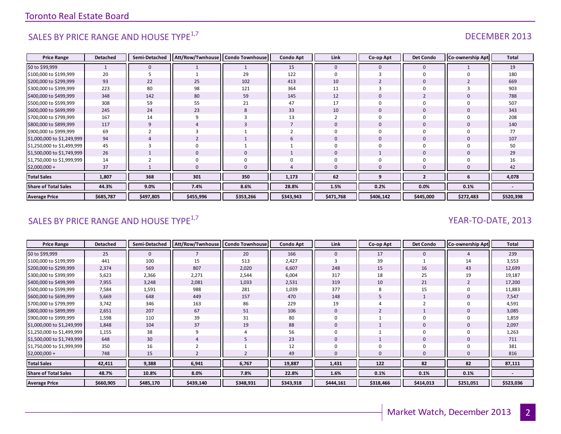# SALES BY PRICE RANGE AND HOUSE TYPE<sup>1,7</sup> and the set of the set of the set of the set of the set of the set of the set of the set of the set of the set of the set of the set of the set of the set of the set of the set of t

| <b>Price Range</b>          | <b>Detached</b> | Semi-Detached | Att/Row/Twnhouse | <b>Condo Townhouse</b> | <b>Condo Apt</b> | Link         | Co-op Apt   | <b>Det Condo</b> | Co-ownership Apt | <b>Total</b> |
|-----------------------------|-----------------|---------------|------------------|------------------------|------------------|--------------|-------------|------------------|------------------|--------------|
| \$0 to \$99,999             |                 | $\mathbf{0}$  |                  |                        | 15               | $\mathbf{0}$ | 0           | $\mathbf 0$      |                  | 19           |
| \$100,000 to \$199,999      | 20              |               |                  | 29                     | 122              |              |             | $\Omega$         |                  | 180          |
| \$200,000 to \$299,999      | 93              | 22            | 25               | 102                    | 413              | 10           |             | $\overline{0}$   |                  | 669          |
| \$300,000 to \$399,999      | 223             | 80            | 98               | 121                    | 364              | 11           |             |                  |                  | 903          |
| \$400,000 to \$499,999      | 348             | 142           | 80               | 59                     | 145              | 12           | $\Omega$    | $\overline{2}$   |                  | 788          |
| \$500,000 to \$599,999      | 308             | 59            | 55               | 21                     | 47               | 17           |             |                  |                  | 507          |
| \$600,000 to \$699,999      | 245             | 24            | 23               | 8                      | 33               | 10           | $\mathbf 0$ | $\mathbf 0$      |                  | 343          |
| \$700,000 to \$799,999      | 167             | 14            | q                | 3                      | 13               |              | $\Omega$    |                  |                  | 208          |
| \$800,000 to \$899,999      | 117             | 9             |                  |                        |                  | $\Omega$     | $\mathbf 0$ | $\mathbf 0$      |                  | 140          |
| \$900,000 to \$999,999      | 69              |               |                  |                        |                  |              | $\Omega$    | $\Omega$         |                  | 77           |
| \$1,000,000 to \$1,249,999  | 94              | 4             |                  |                        |                  | $\Omega$     | $\Omega$    | $\Omega$         |                  | 107          |
| \$1,250,000 to \$1,499,999  | 45              | 3             | $\Omega$         |                        |                  |              | $\Omega$    | $\Omega$         |                  | 50           |
| \$1,500,000 to \$1,749,999  | 26              |               | 0                | $\mathbf 0$            |                  | $\Omega$     |             | $\mathbf 0$      |                  | 29           |
| \$1,750,000 to \$1,999,999  | 14              |               | 0                | $\Omega$               |                  |              |             |                  |                  | 16           |
| \$2,000,000 +               | 37              |               |                  | $\Omega$               |                  |              | $\Omega$    |                  |                  | 42           |
| <b>Total Sales</b>          | 1,807           | 368           | 301              | 350                    | 1,173            | 62           | q           | ,                |                  | 4,078        |
| <b>Share of Total Sales</b> | 44.3%           | 9.0%          | 7.4%             | 8.6%                   | 28.8%            | 1.5%         | 0.2%        | 0.0%             | 0.1%             |              |
| <b>Average Price</b>        | \$685,787       | \$497,805     | \$455,996        | \$353,266              | \$343,943        | \$471,768    | \$406,142   | \$445,000        | \$272,483        | \$520,398    |

# SALES BY PRICE RANGE AND HOUSE TYPE<sup>1,7</sup>  $\sqrt{2}$  and  $\sqrt{2}$  and  $\sqrt{2}$  and  $\sqrt{2}$  and  $\sqrt{2}$  and  $\sqrt{2}$  and  $\sqrt{2}$  and  $\sqrt{2}$  and  $\sqrt{2}$  and  $\sqrt{2}$  and  $\sqrt{2}$  and  $\sqrt{2}$  and  $\sqrt{2}$  and  $\sqrt{2}$  and  $\sqrt{2}$  and

| <b>Price Range</b>          | <b>Detached</b> | Semi-Detached | Att/Row/Twnhouse   Condo Townhouse |           | <b>Condo Apt</b> | Link         | Co-op Apt | <b>Det Condo</b> | <b>Co-ownership Apt</b> | Total     |
|-----------------------------|-----------------|---------------|------------------------------------|-----------|------------------|--------------|-----------|------------------|-------------------------|-----------|
| \$0 to \$99,999             | 25              | $\mathbf{0}$  |                                    | 20        | 166              | $\mathbf{0}$ | 17        | $\mathbf{0}$     |                         | 239       |
| \$100,000 to \$199,999      | 441             | 100           | 15                                 | 513       | 2,427            |              | 39        |                  | 14                      | 3,553     |
| \$200,000 to \$299,999      | 2,374           | 569           | 807                                | 2,020     | 6,607            | 248          | 15        | 16               | 43                      | 12,699    |
| \$300,000 to \$399,999      | 5,623           | 2,366         | 2,271                              | 2,544     | 6,004            | 317          | 18        | 25               | 19                      | 19,187    |
| \$400,000 to \$499,999      | 7,955           | 3,248         | 2,081                              | 1,033     | 2,531            | 319          | 10        | 21               |                         | 17,200    |
| \$500,000 to \$599,999      | 7,584           | 1,591         | 988                                | 281       | 1,039            | 377          | 8         | 15               |                         | 11,883    |
| \$600,000 to \$699,999      | 5,669           | 648           | 449                                | 157       | 470              | 148          |           |                  |                         | 7,547     |
| \$700,000 to \$799,999      | 3,742           | 346           | 163                                | 86        | 229              | 19           |           |                  |                         | 4,591     |
| \$800,000 to \$899,999      | 2,651           | 207           | 67                                 | 51        | 106              |              |           |                  |                         | 3,085     |
| \$900,000 to \$999,999      | 1,598           | 110           | 39                                 | 31        | 80               |              |           | 0                |                         | 1,859     |
| \$1,000,000 to \$1,249,999  | 1,848           | 104           | 37                                 | 19        | 88               | 0            |           | 0                |                         | 2,097     |
| \$1,250,000 to \$1,499,999  | 1,155           | 38            |                                    | 4         | 56               |              |           | $\mathbf 0$      |                         | 1,263     |
| \$1,500,000 to \$1,749,999  | 648             | 30            |                                    |           | 23               | $\mathbf{0}$ |           | 0                |                         | 711       |
| \$1,750,000 to \$1,999,999  | 350             | 16            |                                    |           | 12               |              |           | 0                |                         | 381       |
| \$2,000,000 +               | 748             | 15            |                                    |           | 49               |              |           | 0                |                         | 816       |
| <b>Total Sales</b>          | 42,411          | 9,388         | 6,941                              | 6,767     | 19,887           | 1,431        | 122       | 82               | 82                      | 87,111    |
| <b>Share of Total Sales</b> | 48.7%           | 10.8%         | 8.0%                               | 7.8%      | 22.8%            | 1.6%         | 0.1%      | 0.1%             | 0.1%                    |           |
| <b>Average Price</b>        | \$660,905       | \$485,170     | \$439,140                          | \$348,931 | \$343,918        | \$444,161    | \$318,466 | \$414,013        | \$251,051               | \$523,036 |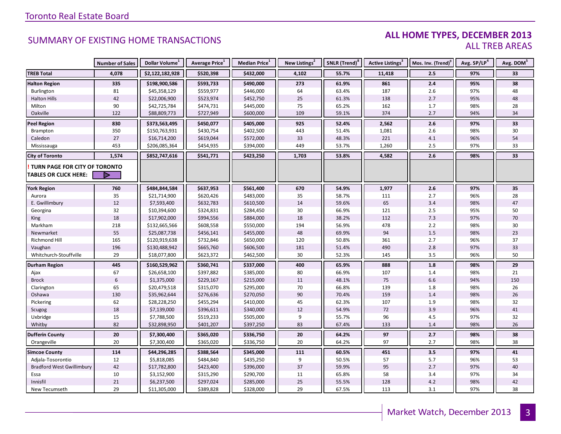### **ALL HOME TYPES, DECEMBER 2013** ALL TREB AREAS

|                                  | <b>Number of Sales</b> | Dollar Volume <sup>1</sup> | Average Price <sup>1</sup> | Median Price <sup>1</sup> | New Listings <sup>2</sup> | SNLR (Trend) <sup>8</sup> | Active Listings <sup>3</sup> | Mos. Inv. (Trend) <sup>9</sup> | Avg. SP/LP <sup>4</sup> | Avg. DOM <sup>5</sup> |
|----------------------------------|------------------------|----------------------------|----------------------------|---------------------------|---------------------------|---------------------------|------------------------------|--------------------------------|-------------------------|-----------------------|
| <b>TREB Total</b>                | 4,078                  | \$2,122,182,928            | \$520,398                  | \$432,000                 | 4,102                     | 55.7%                     | 11,418                       | 2.5                            | 97%                     | 33                    |
| <b>Halton Region</b>             | 335                    | \$198,900,586              | \$593,733                  | \$490,000                 | 273                       | 61.9%                     | 861                          | 2.4                            | 95%                     | 38                    |
| Burlington                       | 81                     | \$45,358,129               | \$559,977                  | \$446,000                 | 64                        | 63.4%                     | 187                          | 2.6                            | 97%                     | 48                    |
| <b>Halton Hills</b>              | 42                     | \$22,006,900               | \$523,974                  | \$452,750                 | 25                        | 61.3%                     | 138                          | 2.7                            | 95%                     | 48                    |
| Milton                           | 90                     | \$42,725,784               | \$474,731                  | \$445,000                 | 75                        | 65.2%                     | 162                          | 1.7                            | 98%                     | 28                    |
| Oakville                         | 122                    | \$88,809,773               | \$727,949                  | \$600,000                 | 109                       | 59.1%                     | 374                          | 2.7                            | 94%                     | 34                    |
| <b>Peel Region</b>               | 830                    | \$373,563,495              | \$450,077                  | \$405,000                 | 925                       | 52.4%                     | 2,562                        | 2.6                            | 97%                     | 33                    |
| Brampton                         | 350                    | \$150,763,931              | \$430,754                  | \$402,500                 | 443                       | 51.4%                     | 1,081                        | 2.6                            | 98%                     | 30                    |
| Caledon                          | 27                     | \$16,714,200               | \$619,044                  | \$572,000                 | 33                        | 48.3%                     | 221                          | 4.1                            | 96%                     | 54                    |
| Mississauga                      | 453                    | \$206,085,364              | \$454,935                  | \$394,000                 | 449                       | 53.7%                     | 1,260                        | 2.5                            | 97%                     | 33                    |
| <b>City of Toronto</b>           | 1,574                  | \$852,747,616              | \$541,771                  | \$423,250                 | 1,703                     | 53.8%                     | 4,582                        | 2.6                            | 98%                     | 33                    |
| TURN PAGE FOR CITY OF TORONTO    |                        |                            |                            |                           |                           |                           |                              |                                |                         |                       |
| <b>TABLES OR CLICK HERE:</b>     |                        |                            |                            |                           |                           |                           |                              |                                |                         |                       |
| <b>York Region</b>               | 760                    | \$484,844,584              | \$637,953                  | \$561,400                 | 670                       | 54.9%                     | 1,977                        | $2.6\,$                        | 97%                     | 35                    |
| Aurora                           | 35                     | \$21,714,900               | \$620,426                  | \$483,000                 | 35                        | 58.7%                     | 111                          | 2.7                            | 96%                     | 28                    |
| E. Gwillimbury                   | 12                     | \$7,593,400                | \$632,783                  | \$610,500                 | 14                        | 59.6%                     | 65                           | 3.4                            | 98%                     | 47                    |
| Georgina                         | 32                     | \$10,394,600               | \$324,831                  | \$284,450                 | 30                        | 66.9%                     | 121                          | $2.5\,$                        | 95%                     | 50                    |
| King                             | 18                     | \$17,902,000               | \$994,556                  | \$884,000                 | 18                        | 38.2%                     | 112                          | 7.3                            | 97%                     | 70                    |
| Markham                          | 218                    | \$132,665,566              | \$608,558                  | \$550,000                 | 194                       | 56.9%                     | 478                          | 2.2                            | 98%                     | 30                    |
| Newmarket                        | 55                     | \$25,087,738               | \$456,141                  | \$455,000                 | 48                        | 69.9%                     | 94                           | $1.5\,$                        | 98%                     | 23                    |
| Richmond Hill                    | 165                    | \$120,919,638              | \$732,846                  | \$650,000                 | 120                       | 50.8%                     | 361                          | 2.7                            | 96%                     | 37                    |
| Vaughan                          | 196                    | \$130,488,942              | \$665,760                  | \$606,500                 | 181                       | 51.4%                     | 490                          | 2.8                            | 97%                     | 33                    |
| Whitchurch-Stouffville           | 29                     | \$18,077,800               | \$623,372                  | \$462,500                 | 30                        | 52.3%                     | 145                          | 3.5                            | 96%                     | 50                    |
| <b>Durham Region</b>             | 445                    | \$160,529,962              | \$360,741                  | \$337,000                 | 400                       | 65.9%                     | 888                          | 1.8                            | 98%                     | 29                    |
| Ajax                             | 67                     | \$26,658,100               | \$397,882                  | \$385,000                 | 80                        | 66.9%                     | 107                          | 1.4                            | 98%                     | 21                    |
| <b>Brock</b>                     | $\boldsymbol{6}$       | \$1,375,000                | \$229,167                  | \$215,000                 | 11                        | 48.1%                     | 75                           | $6.6\,$                        | 94%                     | 150                   |
| Clarington                       | 65                     | \$20,479,518               | \$315,070                  | \$295,000                 | 70                        | 66.8%                     | 139                          | 1.8                            | 98%                     | 26                    |
| Oshawa                           | 130                    | \$35,962,644               | \$276,636                  | \$270,050                 | 90                        | 70.4%                     | 159                          | 1.4                            | 98%                     | 26                    |
| Pickering                        | 62                     | \$28,228,250               | \$455,294                  | \$410,000                 | 45                        | 62.3%                     | 107                          | 1.9                            | 98%                     | 32                    |
| Scugog                           | 18                     | \$7,139,000                | \$396,611                  | \$340,000                 | 12                        | 54.9%                     | 72                           | 3.9                            | 96%                     | 41                    |
| Uxbridge                         | 15                     | \$7,788,500                | \$519,233                  | \$505,000                 | 9                         | 55.7%                     | 96                           | 4.5                            | 97%                     | 32                    |
| Whitby                           | 82                     | \$32,898,950               | \$401,207                  | \$397,250                 | 83                        | 67.4%                     | 133                          | 1.4                            | 98%                     | 26                    |
| <b>Dufferin County</b>           | $\overline{20}$        | \$7,300,400                | \$365,020                  | \$336,750                 | 20                        | 64.2%                     | 97                           | 2.7                            | 98%                     | 38                    |
| Orangeville                      | 20                     | \$7,300,400                | \$365,020                  | \$336,750                 | 20                        | 64.2%                     | 97                           | 2.7                            | 98%                     | 38                    |
| <b>Simcoe County</b>             | 114                    | \$44,296,285               | \$388,564                  | \$345,000                 | 111                       | 60.5%                     | 451                          | 3.5                            | 97%                     | 41                    |
| Adjala-Tosorontio                | 12                     | \$5,818,085                | \$484,840                  | \$435,250                 | 9                         | 50.5%                     | 57                           | 5.7                            | 96%                     | 53                    |
| <b>Bradford West Gwillimbury</b> | 42                     | \$17,782,800               | \$423,400                  | \$396,000                 | 37                        | 59.9%                     | 95                           | 2.7                            | 97%                     | 40                    |
| Essa                             | 10                     | \$3,152,900                | \$315,290                  | \$290,700                 | 11                        | 65.8%                     | 58                           | 3.4                            | 97%                     | 34                    |
| Innisfil                         | 21                     | \$6,237,500                | \$297,024                  | \$285,000                 | 25                        | 55.5%                     | 128                          | 4.2                            | 98%                     | 42                    |
| New Tecumseth                    | 29                     | \$11,305,000               | \$389,828                  | \$328,000                 | 29                        | 67.5%                     | 113                          | 3.1                            | 97%                     | 38                    |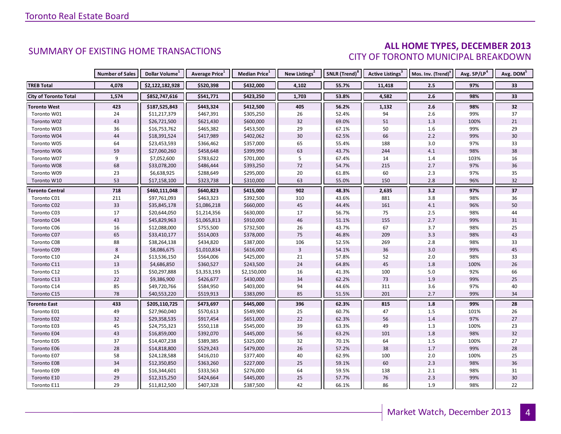### **ALL HOME TYPES, DECEMBER 2013** CITY OF TORONTO MUNICIPAL BREAKDOWN

|                              | <b>Number of Sales</b> | Dollar Volume <sup>1</sup> | <b>Average Price</b> <sup>1</sup> | <b>Median Price</b> <sup>1</sup> | New Listings <sup>2</sup> | SNLR (Trend) <sup>8</sup> | Active Listings <sup>3</sup> | Mos. Inv. (Trend) <sup>9</sup> | Avg. SP/LP <sup>4</sup> | Avg. DOM <sup>5</sup> |
|------------------------------|------------------------|----------------------------|-----------------------------------|----------------------------------|---------------------------|---------------------------|------------------------------|--------------------------------|-------------------------|-----------------------|
| <b>TREB Total</b>            | 4,078                  | \$2,122,182,928            | \$520,398                         | \$432,000                        | 4,102                     | 55.7%                     | 11,418                       | 2.5                            | 97%                     | 33                    |
| <b>City of Toronto Total</b> | 1,574                  | \$852,747,616              | \$541,771                         | \$423,250                        | 1,703                     | 53.8%                     | 4,582                        | 2.6                            | 98%                     | 33                    |
| <b>Toronto West</b>          | 423                    | \$187,525,843              | \$443,324                         | \$412,500                        | 405                       | 56.2%                     | 1,132                        | 2.6                            | 98%                     | 32                    |
| Toronto W01                  | 24                     | \$11,217,379               | \$467,391                         | \$305,250                        | 26                        | 52.4%                     | 94                           | 2.6                            | 99%                     | 37                    |
| Toronto W02                  | 43                     | \$26,721,500               | \$621,430                         | \$600,000                        | 32                        | 69.0%                     | 51                           | 1.3                            | 100%                    | 21                    |
| Toronto W03                  | 36                     | \$16,753,762               | \$465,382                         | \$453,500                        | 29                        | 67.1%                     | 50                           | 1.6                            | 99%                     | 29                    |
| Toronto W04                  | 44                     | \$18,391,524               | \$417,989                         | \$402,062                        | 30                        | 62.5%                     | 66                           | 2.2                            | 99%                     | 30                    |
| Toronto W05                  | 64                     | \$23,453,593               | \$366,462                         | \$357,000                        | 65                        | 55.4%                     | 188                          | 3.0                            | 97%                     | 33                    |
| Toronto W06                  | 59                     | \$27,060,260               | \$458,648                         | \$399,990                        | 63                        | 43.7%                     | 244                          | 4.1                            | 98%                     | 38                    |
| Toronto W07                  | 9                      | \$7,052,600                | \$783,622                         | \$701,000                        | 5                         | 67.4%                     | 14                           | 1.4                            | 103%                    | 16                    |
| Toronto W08                  | 68                     | \$33,078,200               | \$486,444                         | \$393,250                        | $72\,$                    | 54.7%                     | 215                          | 2.7                            | 97%                     | 36                    |
| Toronto W09                  | 23                     | \$6,638,925                | \$288,649                         | \$295,000                        | 20                        | 61.8%                     | 60                           | 2.3                            | 97%                     | 35                    |
| Toronto W10                  | 53                     | \$17,158,100               | \$323,738                         | \$310,000                        | 63                        | 55.0%                     | 150                          | 2.8                            | 96%                     | 32                    |
| <b>Toronto Central</b>       | 718                    | \$460,111,048              | \$640,823                         | \$415,000                        | 902                       | 48.3%                     | 2,635                        | 3.2                            | 97%                     | 37                    |
| Toronto C01                  | 211                    | \$97,761,093               | \$463,323                         | \$392,500                        | 310                       | 43.6%                     | 881                          | 3.8                            | 98%                     | 36                    |
| Toronto C02                  | 33                     | \$35,845,178               | \$1,086,218                       | \$660,000                        | 45                        | 44.4%                     | 161                          | 4.1                            | 96%                     | 50                    |
| Toronto C03                  | $17\,$                 | \$20,644,050               | \$1,214,356                       | \$630,000                        | 17                        | 56.7%                     | 75                           | 2.5                            | 98%                     | 44                    |
| Toronto C04                  | 43                     | \$45,829,963               | \$1,065,813                       | \$910,000                        | 46                        | 51.1%                     | 155                          | 2.7                            | 99%                     | 31                    |
| Toronto C06                  | 16                     | \$12,088,000               | \$755,500                         | \$732,500                        | 26                        | 43.7%                     | 67                           | 3.7                            | 98%                     | 25                    |
| Toronto C07                  | 65                     | \$33,410,177               | \$514,003                         | \$378,000                        | 75                        | 46.8%                     | 209                          | 3.3                            | 98%                     | 43                    |
| Toronto C08                  | 88                     | \$38,264,138               | \$434,820                         | \$387,000                        | 106                       | 52.5%                     | 269                          | $2.8$                          | 98%                     | 33                    |
| Toronto C09                  | $\bf 8$                | \$8,086,675                | \$1,010,834                       | \$616,000                        | $\overline{3}$            | 54.1%                     | 36                           | 3.0                            | 99%                     | 45                    |
| Toronto C10                  | 24                     | \$13,536,150               | \$564,006                         | \$425,000                        | 21                        | 57.8%                     | 52                           | 2.0                            | 98%                     | 33                    |
| Toronto C11                  | 13                     | \$4,686,850                | \$360,527                         | \$243,500                        | 24                        | 64.8%                     | 45                           | 1.8                            | 100%                    | 26                    |
| Toronto C12                  | 15                     | \$50,297,888               | \$3,353,193                       | \$2,150,000                      | 16                        | 41.3%                     | 100                          | 5.0                            | 92%                     | 66                    |
| Toronto C13                  | 22                     | \$9,386,900                | \$426,677                         | \$430,000                        | 34                        | 62.2%                     | 73                           | 1.9                            | 99%                     | 25                    |
| Toronto C14                  | 85                     | \$49,720,766               | \$584,950                         | \$403,000                        | 94                        | 44.6%                     | 311                          | 3.6                            | 97%                     | 40                    |
| Toronto C15                  | 78                     | \$40,553,220               | \$519,913                         | \$383,090                        | 85                        | 51.5%                     | 201                          | 2.7                            | 99%                     | 34                    |
| <b>Toronto East</b>          | 433                    | \$205,110,725              | \$473,697                         | \$445,000                        | 396                       | 62.3%                     | 815                          | 1.8                            | 99%                     | 28                    |
| Toronto E01                  | 49                     | \$27,960,040               | \$570,613                         | \$549,900                        | 25                        | 60.7%                     | 47                           | 1.5                            | 101%                    | 26                    |
| Toronto E02                  | 32                     | \$29,358,535               | \$917,454                         | \$651,000                        | 22                        | 62.3%                     | 56                           | 1.4                            | 97%                     | 27                    |
| Toronto E03                  | 45                     | \$24,755,323               | \$550,118                         | \$545,000                        | 39                        | 63.3%                     | 49                           | 1.3                            | 100%                    | 23                    |
| Toronto E04                  | 43                     | \$16,859,000               | \$392,070                         | \$445,000                        | 56                        | 63.2%                     | 101                          | 1.8                            | 98%                     | 32                    |
| Toronto E05                  | 37                     | \$14,407,238               | \$389,385                         | \$325,000                        | 32                        | 70.1%                     | 64                           | 1.5                            | 100%                    | 27                    |
| Toronto E06                  | 28                     | \$14,818,800               | \$529,243                         | \$479,000                        | 26                        | 57.2%                     | 38                           | 1.7                            | 99%                     | 28                    |
| Toronto E07                  | 58                     | \$24,128,588               | \$416,010                         | \$377,400                        | 40                        | 62.9%                     | 100                          | 2.0                            | 100%                    | 25                    |
| Toronto E08                  | 34                     | \$12,350,850               | \$363,260                         | \$227,000                        | 25                        | 59.1%                     | 60                           | 2.3                            | 98%                     | 36                    |
| Toronto E09                  | 49                     | \$16,344,601               | \$333,563                         | \$276,000                        | 64                        | 59.5%                     | 138                          | 2.1                            | 98%                     | 31                    |
| Toronto E10                  | 29                     | \$12,315,250               | \$424,664                         | \$445,000                        | 25                        | 57.7%                     | 76                           | 2.3                            | 99%                     | 30                    |
| Toronto E11                  | 29                     | \$11,812,500               | \$407,328                         | \$387,500                        | 42                        | 66.1%                     | 86                           | 1.9                            | 98%                     | 22                    |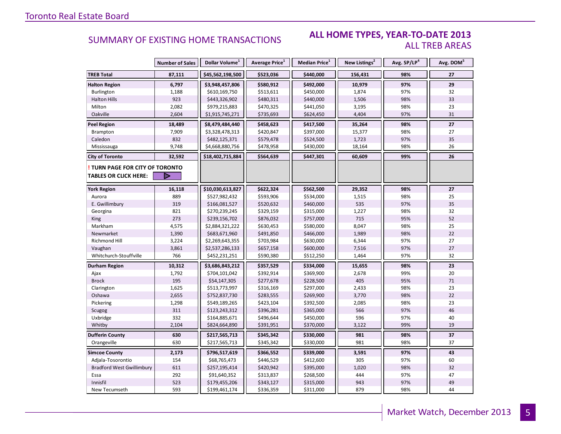#### **ALL HOME TYPES, YEAR-TO-DATE 2013** ALL TREB AREAS

|                                  | <b>Number of Sales</b> | Dollar Volume <sup>1</sup> | Average Price <sup>1</sup> | Median Price <sup>1</sup> | New Listings <sup>2</sup> | Avg. SP/LP <sup>4</sup> | Avg. DOM <sup>5</sup> |
|----------------------------------|------------------------|----------------------------|----------------------------|---------------------------|---------------------------|-------------------------|-----------------------|
| <b>TREB Total</b>                | 87,111                 | \$45,562,198,500           | \$523,036                  | \$440,000                 | 156,431                   | 98%                     | 27                    |
| <b>Halton Region</b>             | 6,797                  | \$3,948,457,806            | \$580,912                  | \$492,000                 | 10,979                    | 97%                     | 29                    |
| Burlington                       | 1,188                  | \$610,169,750              | \$513,611                  | \$450,000                 | 1,874                     | 97%                     | 32                    |
| <b>Halton Hills</b>              | 923                    | \$443,326,902              | \$480,311                  | \$440,000                 | 1,506                     | 98%                     | 33                    |
| Milton                           | 2,082                  | \$979,215,883              | \$470,325                  | \$441,050                 | 3,195                     | 98%                     | 23                    |
| Oakville                         | 2,604                  | \$1,915,745,271            | \$735,693                  | \$624,450                 | 4,404                     | 97%                     | 31                    |
| <b>Peel Region</b>               | 18,489                 | \$8,479,484,440            | \$458,623                  | \$417,500                 | 35,264                    | 98%                     | 27                    |
| Brampton                         | 7,909                  | \$3,328,478,313            | \$420,847                  | \$397,000                 | 15,377                    | 98%                     | 27                    |
| Caledon                          | 832                    | \$482,125,371              | \$579,478                  | \$524,500                 | 1,723                     | 97%                     | 35                    |
| Mississauga                      | 9,748                  | \$4,668,880,756            | \$478,958                  | \$430,000                 | 18,164                    | 98%                     | 26                    |
| <b>City of Toronto</b>           | 32,592                 | \$18,402,715,884           | \$564,639                  | \$447,301                 | 60,609                    | 99%                     | 26                    |
| TURN PAGE FOR CITY OF TORONTO    |                        |                            |                            |                           |                           |                         |                       |
| <b>TABLES OR CLICK HERE:</b>     | Þ                      |                            |                            |                           |                           |                         |                       |
| <b>York Region</b>               | 16,118                 | \$10,030,613,827           | \$622,324                  | \$562,500                 | 29,352                    | 98%                     | $27\,$                |
| Aurora                           | 889                    | \$527,982,432              | \$593,906                  | \$534,000                 | 1,515                     | 98%                     | 25                    |
| E. Gwillimbury                   | 319                    | \$166,081,527              | \$520,632                  | \$460,000                 | 535                       | 97%                     | 35                    |
| Georgina                         | 821                    | \$270,239,245              | \$329,159                  | \$315,000                 | 1,227                     | 98%                     | 32                    |
| King                             | 273                    | \$239,156,702              | \$876,032                  | \$757,000                 | 715                       | 95%                     | 52                    |
| Markham                          | 4,575                  | \$2,884,321,222            | \$630,453                  | \$580,000                 | 8,047                     | 98%                     | 25                    |
| Newmarket                        | 1,390                  | \$683,671,960              | \$491,850                  | \$466,000                 | 1,989                     | 98%                     | 22                    |
| Richmond Hill                    | 3,224                  | \$2,269,643,355            | \$703,984                  | \$630,000                 | 6,344                     | 97%                     | 27                    |
| Vaughan                          | 3,861                  | \$2,537,286,133            | \$657,158                  | \$600,000                 | 7,516                     | 97%                     | 27                    |
| Whitchurch-Stouffville           | 766                    | \$452,231,251              | \$590,380                  | \$512,250                 | 1,464                     | 97%                     | 32                    |
| Durham Region                    | 10,312                 | \$3,686,843,212            | \$357,529                  | \$334,000                 | 15,655                    | 98%                     | 23                    |
| Ajax                             | 1,792                  | \$704,101,042              | \$392,914                  | \$369,900                 | 2,678                     | 99%                     | 20                    |
| <b>Brock</b>                     | 195                    | \$54,147,305               | \$277,678                  | \$228,500                 | 405                       | 95%                     | 71                    |
| Clarington                       | 1,625                  | \$513,773,997              | \$316,169                  | \$297,000                 | 2,433                     | 98%                     | 23                    |
| Oshawa                           | 2,655                  | \$752,837,730              | \$283,555                  | \$269,900                 | 3,770                     | 98%                     | 22                    |
| Pickering                        | 1,298                  | \$549,189,265              | \$423,104                  | \$392,500                 | 2,085                     | 98%                     | 23                    |
| Scugog                           | 311                    | \$123,243,312              | \$396,281                  | \$365,000                 | 566                       | 97%                     | 46                    |
| Uxbridge                         | 332                    | \$164,885,671              | \$496,644                  | \$450,000                 | 596                       | 97%                     | 40                    |
| Whitby                           | 2,104                  | \$824,664,890              | \$391,951                  | \$370,000                 | 3,122                     | 99%                     | 19                    |
| <b>Dufferin County</b>           | 630                    | \$217,565,713              | \$345,342                  | \$330,000                 | 981                       | 98%                     | 37                    |
| Orangeville                      | 630                    | \$217,565,713              | \$345,342                  | \$330,000                 | 981                       | 98%                     | 37                    |
| <b>Simcoe County</b>             | 2,173                  | \$796,517,619              | \$366,552                  | \$339,000                 | 3,591                     | 97%                     | 43                    |
| Adjala-Tosorontio                | 154                    | \$68,765,473               | \$446,529                  | \$412,600                 | 305                       | 97%                     | 60                    |
| <b>Bradford West Gwillimbury</b> | 611                    | \$257,195,414              | \$420,942                  | \$395,000                 | 1,020                     | 98%                     | 32                    |
| Essa                             | 292                    | \$91,640,352               | \$313,837                  | \$268,500                 | 444                       | 97%                     | 47                    |
| Innisfil                         | 523                    | \$179,455,206              | \$343,127                  | \$315,000                 | 943                       | 97%                     | 49                    |
| New Tecumseth                    | 593                    | \$199,461,174              | \$336,359                  | \$311,000                 | 879                       | 98%                     | 44                    |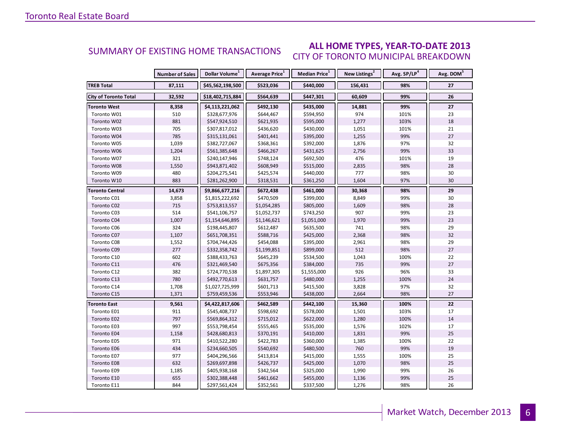#### **ALL HOME TYPES, YEAR-TO-DATE 2013** CITY OF TORONTO MUNICIPAL BREAKDOWN SUMMARY OF EXISTING HOME TRANSACTIONS

|                              | <b>Number of Sales</b> | Dollar Volume <sup>1</sup> | Average Price <sup>1</sup> | Median Price <sup>1</sup> | New Listings <sup>2</sup> | Avg. SP/LP <sup>4</sup> | Avg. DOM <sup>5</sup> |
|------------------------------|------------------------|----------------------------|----------------------------|---------------------------|---------------------------|-------------------------|-----------------------|
| <b>TREB Total</b>            | 87,111                 | \$45,562,198,500           | \$523,036                  | \$440,000                 | 156,431                   | 98%                     | 27                    |
| <b>City of Toronto Total</b> | 32,592                 | \$18,402,715,884           | \$564,639                  | \$447,301                 | 60,609                    | 99%                     | 26                    |
| Toronto West                 | 8,358                  | \$4,113,221,062            | \$492,130                  | \$435,000                 | 14,881                    | 99%                     | 27                    |
| Toronto W01                  | 510                    | \$328,677,976              | \$644,467                  | \$594,950                 | 974                       | 101%                    | 23                    |
| Toronto W02                  | 881                    | \$547,924,510              | \$621,935                  | \$595,000                 | 1,277                     | 103%                    | 18                    |
| Toronto W03                  | 705                    | \$307,817,012              | \$436,620                  | \$430,000                 | 1,051                     | 101%                    | 21                    |
| Toronto W04                  | 785                    | \$315,131,061              | \$401,441                  | \$395,000                 | 1,255                     | 99%                     | 27                    |
| Toronto W05                  | 1,039                  | \$382,727,067              | \$368,361                  | \$392,000                 | 1,876                     | 97%                     | 32                    |
| Toronto W06                  | 1,204                  | \$561,385,648              | \$466,267                  | \$431,625                 | 2,756                     | 99%                     | 33                    |
| Toronto W07                  | 321                    | \$240,147,946              | \$748,124                  | \$692,500                 | 476                       | 101%                    | 19                    |
| Toronto W08                  | 1,550                  | \$943,871,402              | \$608,949                  | \$515,000                 | 2,835                     | 98%                     | 28                    |
| Toronto W09                  | 480                    | \$204,275,541              | \$425,574                  | \$440,000                 | 777                       | 98%                     | 30                    |
| Toronto W10                  | 883                    | \$281,262,900              | \$318,531                  | \$361,250                 | 1,604                     | 97%                     | 30                    |
| <b>Toronto Central</b>       | 14,673                 | \$9,866,677,216            | \$672,438                  | \$461,000                 | 30,368                    | 98%                     | 29                    |
| Toronto C01                  | 3,858                  | \$1,815,222,692            | \$470,509                  | \$399,000                 | 8,849                     | 99%                     | 30                    |
| Toronto C02                  | 715                    | \$753,813,557              | \$1,054,285                | \$805,000                 | 1,609                     | 98%                     | 28                    |
| Toronto C03                  | 514                    | \$541,106,757              | \$1,052,737                | \$743,250                 | 907                       | 99%                     | 23                    |
| Toronto C04                  | 1,007                  | \$1,154,646,895            | \$1,146,621                | \$1,051,000               | 1,970                     | 99%                     | 23                    |
| Toronto C06                  | 324                    | \$198,445,807              | \$612,487                  | \$635,500                 | 741                       | 98%                     | 29                    |
| Toronto C07                  | 1,107                  | \$651,708,351              | \$588,716                  | \$425,000                 | 2,368                     | 98%                     | 32                    |
| Toronto C08                  | 1,552                  | \$704,744,426              | \$454,088                  | \$395,000                 | 2,961                     | 98%                     | 29                    |
| Toronto C09                  | 277                    | \$332,358,742              | \$1,199,851                | \$899,000                 | 512                       | 98%                     | 27                    |
| Toronto C10                  | 602                    | \$388,433,763              | \$645,239                  | \$534,500                 | 1,043                     | 100%                    | 22                    |
| Toronto C11                  | 476                    | \$321,469,540              | \$675,356                  | \$384,000                 | 735                       | 99%                     | 27                    |
| Toronto C12                  | 382                    | \$724,770,538              | \$1,897,305                | \$1,555,000               | 926                       | 96%                     | 33                    |
| Toronto C13                  | 780                    | \$492,770,613              | \$631,757                  | \$480,000                 | 1,255                     | 100%                    | 24                    |
| Toronto C14                  | 1,708                  | \$1,027,725,999            | \$601,713                  | \$415,500                 | 3,828                     | 97%                     | 32                    |
| Toronto C15                  | 1,371                  | \$759,459,536              | \$553,946                  | \$438,000                 | 2,664                     | 98%                     | 27                    |
| <b>Toronto East</b>          | 9,561                  | \$4,422,817,606            | \$462,589                  | \$442,100                 | 15,360                    | 100%                    | 22                    |
| Toronto E01                  | 911                    | \$545,408,737              | \$598,692                  | \$578,000                 | 1,501                     | 103%                    | 17                    |
| Toronto E02                  | 797                    | \$569,864,312              | \$715,012                  | \$622,000                 | 1,280                     | 100%                    | 14                    |
| Toronto E03                  | 997                    | \$553,798,454              | \$555,465                  | \$535,000                 | 1,576                     | 102%                    | 17                    |
| Toronto E04                  | 1,158                  | \$428,680,813              | \$370,191                  | \$410,000                 | 1,831                     | 99%                     | 25                    |
| Toronto E05                  | 971                    | \$410,522,280              | \$422,783                  | \$360,000                 | 1,385                     | 100%                    | 22                    |
| Toronto E06                  | 434                    | \$234,660,505              | \$540,692                  | \$480,500                 | 760                       | 99%                     | 19                    |
| Toronto E07                  | 977                    | \$404,296,566              | \$413,814                  | \$415,000                 | 1,555                     | 100%                    | 25                    |
| <b>Toronto E08</b>           | 632                    | \$269,697,898              | \$426,737                  | \$425,000                 | 1,070                     | 98%                     | 25                    |
| Toronto E09                  | 1,185                  | \$405,938,168              | \$342,564                  | \$325,000                 | 1,990                     | 99%                     | 26                    |
| Toronto E10                  | 655                    | \$302,388,448              | \$461,662                  | \$455,000                 | 1,136                     | 99%                     | 25                    |
| Toronto E11                  | 844                    | \$297,561,424              | \$352,561                  | \$337,500                 | 1,276                     | 98%                     | 26                    |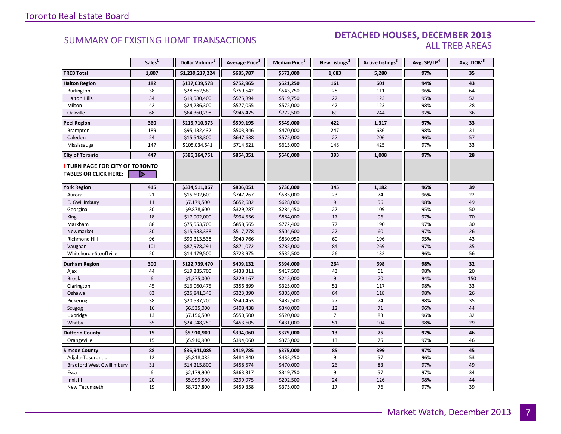#### DETACHED HOUSES, DECEMBER 2013 ALL TREB AREAS

|                                  | Sales <sup>1</sup> | Dollar Volume <sup>1</sup> | Average Price <sup>1</sup> | Median Price <sup>1</sup> | New Listings <sup>2</sup> | <b>Active Listings<sup>3</sup></b> | Avg. SP/LP <sup>4</sup> | Avg. DOM <sup>3</sup> |
|----------------------------------|--------------------|----------------------------|----------------------------|---------------------------|---------------------------|------------------------------------|-------------------------|-----------------------|
| <b>TREB Total</b>                | 1,807              | \$1,239,217,224            | \$685,787                  | \$572,000                 | 1,683                     | 5,280                              | 97%                     | 35                    |
| <b>Halton Region</b>             | 182                | \$137,039,578              | \$752,965                  | \$621,250                 | 161                       | 601                                | 94%                     | 43                    |
| Burlington                       | 38                 | \$28,862,580               | \$759,542                  | \$543,750                 | 28                        | 111                                | 96%                     | 64                    |
| <b>Halton Hills</b>              | 34                 | \$19,580,400               | \$575,894                  | \$519,750                 | 22                        | 123                                | 95%                     | 52                    |
| Milton                           | 42                 | \$24,236,300               | \$577,055                  | \$575,000                 | 42                        | 123                                | 98%                     | 28                    |
| Oakville                         | 68                 | \$64,360,298               | \$946,475                  | \$772,500                 | 69                        | 244                                | 92%                     | 36                    |
| <b>Peel Region</b>               | 360                | \$215,710,373              | \$599,195                  | \$549,000                 | 422                       | 1,317                              | 97%                     | 33                    |
| Brampton                         | 189                | \$95,132,432               | \$503,346                  | \$470,000                 | 247                       | 686                                | 98%                     | 31                    |
| Caledon                          | 24                 | \$15,543,300               | \$647,638                  | \$575,000                 | 27                        | 206                                | 96%                     | 57                    |
| Mississauga                      | 147                | \$105,034,641              | \$714,521                  | \$615,000                 | 148                       | 425                                | 97%                     | 33                    |
| <b>City of Toronto</b>           | 447                | \$386,364,751              | \$864,351                  | \$640,000                 | 393                       | 1,008                              | 97%                     | 28                    |
| TURN PAGE FOR CITY OF TORONTO    |                    |                            |                            |                           |                           |                                    |                         |                       |
| <b>TABLES OR CLICK HERE:</b>     |                    |                            |                            |                           |                           |                                    |                         |                       |
| <b>York Region</b>               | 415                | \$334,511,067              | \$806,051                  | \$730,000                 | 345                       | 1,182                              | 96%                     | 39                    |
| Aurora                           | 21                 | \$15,692,600               | \$747,267                  | \$585,000                 | 23                        | 74                                 | 96%                     | 22                    |
| E. Gwillimbury                   | 11                 | \$7,179,500                | \$652,682                  | \$628,000                 | 9                         | 56                                 | 98%                     | 49                    |
| Georgina                         | $30\,$             | \$9,878,600                | \$329,287                  | \$284,450                 | 27                        | 109                                | 95%                     | 50                    |
| King                             | 18                 | \$17,902,000               | \$994,556                  | \$884,000                 | 17                        | 96                                 | 97%                     | 70                    |
| Markham                          | 88                 | \$75,553,700               | \$858,565                  | \$772,400                 | 77                        | 190                                | 97%                     | 30                    |
| Newmarket                        | 30                 | \$15,533,338               | \$517,778                  | \$504,600                 | 22                        | 60                                 | 97%                     | 26                    |
| Richmond Hill                    | 96                 | \$90,313,538               | \$940,766                  | \$830,950                 | 60                        | 196                                | 95%                     | 43                    |
| Vaughan                          | 101                | \$87,978,291               | \$871,072                  | \$785,000                 | 84                        | 269                                | 97%                     | 35                    |
| Whitchurch-Stouffville           | 20                 | \$14,479,500               | \$723,975                  | \$532,500                 | 26                        | 132                                | 96%                     | 56                    |
| <b>Durham Region</b>             | 300                | \$122,739,470              | \$409,132                  | \$394,000                 | 264                       | 698                                | 98%                     | 32                    |
| Ajax                             | 44                 | \$19,285,700               | \$438,311                  | \$417,500                 | 43                        | 61                                 | 98%                     | 20                    |
| <b>Brock</b>                     | 6                  | \$1,375,000                | \$229,167                  | \$215,000                 | 9                         | 70                                 | 94%                     | 150                   |
| Clarington                       | 45                 | \$16,060,475               | \$356,899                  | \$325,000                 | 51                        | 117                                | 98%                     | 33                    |
| Oshawa                           | 83                 | \$26,841,345               | \$323,390                  | \$305,000                 | 64                        | 118                                | 98%                     | 26                    |
| Pickering                        | 38                 | \$20,537,200               | \$540,453                  | \$482,500                 | 27                        | 74                                 | 98%                     | 35                    |
| Scugog                           | 16                 | \$6,535,000                | \$408,438                  | \$340,000                 | 12                        | 71                                 | 96%                     | 44                    |
| Uxbridge                         | 13                 | \$7,156,500                | \$550,500                  | \$520,000                 | $\overline{7}$            | 83                                 | 96%                     | 32                    |
| Whitby                           | 55                 | \$24,948,250               | \$453,605                  | \$431,000                 | 51                        | 104                                | 98%                     | 29                    |
| <b>Dufferin County</b>           | 15                 | \$5,910,900                | \$394,060                  | \$375,000                 | 13                        | 75                                 | 97%                     | 46                    |
| Orangeville                      | 15                 | \$5,910,900                | \$394,060                  | \$375,000                 | 13                        | 75                                 | 97%                     | 46                    |
| <b>Simcoe County</b>             | 88                 | \$36,941,085               | \$419,785                  | \$375,000                 | 85                        | 399                                | 97%                     | 45                    |
| Adjala-Tosorontio                | 12                 | \$5,818,085                | \$484,840                  | \$435,250                 | 9                         | 57                                 | 96%                     | 53                    |
| <b>Bradford West Gwillimbury</b> | 31                 | \$14,215,800               | \$458,574                  | \$470,000                 | 26                        | 83                                 | 97%                     | 49                    |
| Essa                             | 6                  | \$2,179,900                | \$363,317                  | \$319,750                 | 9                         | 57                                 | 97%                     | 34                    |
| Innisfil                         | 20                 | \$5,999,500                | \$299,975                  | \$292,500                 | 24                        | 126                                | 98%                     | 44                    |
| New Tecumseth                    | 19                 | \$8,727,800                | \$459,358                  | \$375,000                 | 17                        | 76                                 | 97%                     | 39                    |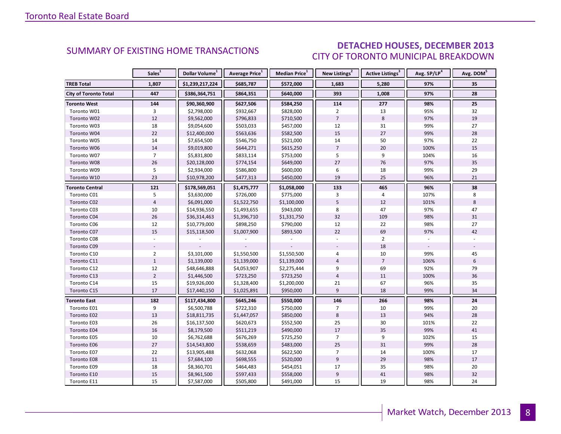### DETACHED HOUSES, DECEMBER 2013 CITY OF TORONTO MUNICIPAL BREAKDOWN

<span id="page-7-0"></span>

|                              | Sales <sup>1</sup> | Dollar Volume <sup>1</sup> | Average Price <sup>1</sup> | Median Price <sup>1</sup> | New Listings <sup>2</sup> | Active Listings <sup>3</sup> | Avg. SP/LP <sup>4</sup> | Avg. DOM <sup>5</sup> |
|------------------------------|--------------------|----------------------------|----------------------------|---------------------------|---------------------------|------------------------------|-------------------------|-----------------------|
| <b>TREB Total</b>            | 1,807              | \$1,239,217,224            | \$685,787                  | \$572,000                 | 1,683                     | 5,280                        | 97%                     | 35                    |
| <b>City of Toronto Total</b> | 447                | \$386,364,751              | \$864,351                  | \$640,000                 | 393                       | 1,008                        | 97%                     | 28                    |
| <b>Toronto West</b>          | 144                | \$90,360,900               | \$627,506                  | \$584,250                 | 114                       | 277                          | 98%                     | 25                    |
| Toronto W01                  | 3                  | \$2,798,000                | \$932,667                  | \$828,000                 | $\overline{2}$            | 13                           | 95%                     | 32                    |
| Toronto W02                  | 12                 | \$9,562,000                | \$796,833                  | \$710,500                 | $\overline{7}$            | $\,8\,$                      | 97%                     | 19                    |
| Toronto W03                  | 18                 | \$9,054,600                | \$503,033                  | \$457,000                 | 12                        | 31                           | 99%                     | 27                    |
| Toronto W04                  | 22                 | \$12,400,000               | \$563,636                  | \$582,500                 | 15                        | 27                           | 99%                     | 28                    |
| Toronto W05                  | 14                 | \$7,654,500                | \$546,750                  | \$521,000                 | 14                        | 50                           | 97%                     | 22                    |
| Toronto W06                  | 14                 | \$9,019,800                | \$644,271                  | \$615,250                 | $\overline{7}$            | 20                           | 100%                    | 15                    |
| Toronto W07                  | $\overline{7}$     | \$5,831,800                | \$833,114                  | \$753,000                 | 5                         | 9                            | 104%                    | 16                    |
| Toronto W08                  | 26                 | \$20,128,000               | \$774,154                  | \$649,000                 | 27                        | 76                           | 97%                     | 35                    |
| Toronto W09                  | 5                  | \$2,934,000                | \$586,800                  | \$600,000                 | 6                         | 18                           | 99%                     | 29                    |
| Toronto W10                  | 23                 | \$10,978,200               | \$477,313                  | \$450,000                 | 19                        | 25                           | 96%                     | 21                    |
| <b>Toronto Central</b>       | 121                | \$178,569,051              | \$1,475,777                | \$1,058,000               | 133                       | 465                          | 96%                     | 38                    |
| Toronto C01                  | 5                  | \$3,630,000                | \$726,000                  | \$775,000                 | 3                         | 4                            | 107%                    | 8                     |
| Toronto C02                  | $\overline{4}$     | \$6,091,000                | \$1,522,750                | \$1,100,000               | 5                         | 12                           | 101%                    | 8                     |
| Toronto C03                  | 10                 | \$14,936,550               | \$1,493,655                | \$943,000                 | 8                         | 47                           | 97%                     | 47                    |
| Toronto C04                  | 26                 | \$36,314,463               | \$1,396,710                | \$1,331,750               | 32                        | 109                          | 98%                     | 31                    |
| Toronto C06                  | 12                 | \$10,779,000               | \$898,250                  | \$790,000                 | 12                        | 22                           | 98%                     | 27                    |
| Toronto C07                  | 15                 | \$15,118,500               | \$1,007,900                | \$893,500                 | 22                        | 69                           | 97%                     | 42                    |
| Toronto C08                  |                    |                            |                            |                           |                           | $\overline{2}$               |                         |                       |
| Toronto C09                  |                    |                            |                            |                           |                           | 18                           |                         |                       |
| Toronto C10                  | $\overline{2}$     | \$3,101,000                | \$1,550,500                | \$1,550,500               | $\overline{4}$            | 10                           | 99%                     | 45                    |
| Toronto C11                  | $\mathbf{1}$       | \$1,139,000                | \$1,139,000                | \$1,139,000               | $\overline{4}$            | $\overline{7}$               | 106%                    | 6                     |
| Toronto C12                  | 12                 | \$48,646,888               | \$4,053,907                | \$2,275,444               | 9                         | 69                           | 92%                     | 79                    |
| Toronto C13                  | $\overline{2}$     | \$1,446,500                | \$723,250                  | \$723,250                 | $\overline{4}$            | 11                           | 100%                    | 36                    |
| Toronto C14                  | 15                 | \$19,926,000               | \$1,328,400                | \$1,200,000               | 21                        | 67                           | 96%                     | 35                    |
| Toronto C15                  | 17                 | \$17,440,150               | \$1,025,891                | \$950,000                 | 9                         | 18                           | 99%                     | 34                    |
| <b>Toronto East</b>          | 182                | \$117,434,800              | \$645,246                  | \$550,000                 | 146                       | 266                          | 98%                     | 24                    |
| Toronto E01                  | 9                  | \$6,500,788                | \$722,310                  | \$750,000                 | $\overline{7}$            | 10                           | 99%                     | 20                    |
| Toronto E02                  | 13                 | \$18,811,735               | \$1,447,057                | \$850,000                 | 8                         | 13                           | 94%                     | 28                    |
| Toronto E03                  | 26                 | \$16,137,500               | \$620,673                  | \$552,500                 | 25                        | 30                           | 101%                    | 22                    |
| Toronto E04                  | 16                 | \$8,179,500                | \$511,219                  | \$490,000                 | 17                        | 35                           | 99%                     | 41                    |
| Toronto E05                  | 10                 | \$6,762,688                | \$676,269                  | \$725,250                 | $\overline{7}$            | 9                            | 102%                    | 15                    |
| Toronto E06                  | 27                 | \$14,543,800               | \$538,659                  | \$483,000                 | 25                        | 31                           | 99%                     | 28                    |
| Toronto E07                  | 22                 | \$13,905,488               | \$632,068                  | \$622,500                 | $\overline{7}$            | 14                           | 100%                    | 17                    |
| Toronto E08                  | $11\,$             | \$7,684,100                | \$698,555                  | \$520,000                 | 9                         | 29                           | 98%                     | 17                    |
| Toronto E09                  | 18                 | \$8,360,701                | \$464,483                  | \$454,051                 | 17                        | 35                           | 98%                     | 20                    |
| Toronto E10                  | 15                 | \$8,961,500                | \$597,433                  | \$558,000                 | $\boldsymbol{9}$          | $41\,$                       | 98%                     | 32                    |
| Toronto E11                  | 15                 | \$7,587,000                | \$505,800                  | \$491,000                 | 15                        | 19                           | 98%                     | 24                    |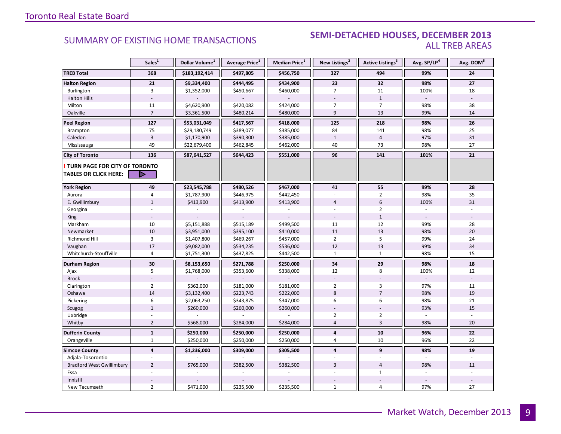### **Industrial SUMMARY OF EXISTING HOME TRANSACTIONS SEMI-DETACHED HOUSES, DECEMBER 2013** ALL TREB AREAS

|                                                        | Sales <sup>1</sup> | Dollar Volume <sup>1</sup> | Average Price <sup>1</sup> | <b>Median Price</b> <sup>1</sup> | New Listings <sup>2</sup> | Active Listings <sup>3</sup> | Avg. SP/LP <sup>4</sup> | Avg. DOM <sup>5</sup> |
|--------------------------------------------------------|--------------------|----------------------------|----------------------------|----------------------------------|---------------------------|------------------------------|-------------------------|-----------------------|
| <b>TREB Total</b>                                      | 368                | \$183,192,414              | \$497,805                  | \$456,750                        | 327                       | 494                          | 99%                     | 24                    |
| <b>Halton Region</b>                                   | 21                 | \$9,334,400                | \$444,495                  | \$434,900                        | 23                        | 32                           | 98%                     | 27                    |
| Burlington                                             | $\mathbf{3}$       | \$1,352,000                | \$450,667                  | \$460,000                        | $\overline{7}$            | 11                           | 100%                    | 18                    |
| <b>Halton Hills</b>                                    |                    |                            |                            |                                  |                           | $\mathbf{1}$                 |                         |                       |
| Milton                                                 | 11                 | \$4,620,900                | \$420,082                  | \$424,000                        | $\overline{7}$            | $\overline{7}$               | 98%                     | 38                    |
| Oakville                                               | $\overline{7}$     | \$3,361,500                | \$480,214                  | \$480,000                        | 9                         | 13                           | 99%                     | 14                    |
| <b>Peel Region</b>                                     | 127                | \$53,031,049               | \$417,567                  | \$418,000                        | 125                       | 218                          | 98%                     | 26                    |
| Brampton                                               | 75                 | \$29,180,749               | \$389,077                  | \$385,000                        | 84                        | 141                          | 98%                     | 25                    |
| Caledon                                                | $\overline{3}$     | \$1,170,900                | \$390,300                  | \$385,000                        | $1\,$                     | $\overline{4}$               | 97%                     | 31                    |
| Mississauga                                            | 49                 | \$22,679,400               | \$462,845                  | \$462,000                        | 40                        | 73                           | 98%                     | 27                    |
| <b>City of Toronto</b>                                 | 136                | \$87,641,527               | \$644,423                  | \$551,000                        | 96                        | 141                          | 101%                    | 21                    |
| TURN PAGE FOR CITY OF TORONTO<br>TABLES OR CLICK HERE: | D                  |                            |                            |                                  |                           |                              |                         |                       |
|                                                        |                    |                            |                            |                                  |                           |                              |                         |                       |
| <b>York Region</b>                                     | 49                 | \$23,545,788               | \$480,526                  | \$467,000                        | 41                        | 55                           | 99%                     | 28                    |
| Aurora                                                 | 4                  | \$1,787,900                | \$446,975                  | \$442,450                        |                           | $\overline{2}$               | 98%                     | 35                    |
| E. Gwillimbury                                         | $\mathbf{1}$       | \$413,900                  | \$413,900                  | \$413,900                        | $\overline{4}$            | 6                            | 100%                    | 31                    |
| Georgina                                               |                    |                            |                            |                                  |                           | $\overline{2}$               |                         |                       |
| King                                                   |                    |                            |                            |                                  |                           | $\mathbf 1$                  |                         |                       |
| Markham                                                | 10                 | \$5,151,888                | \$515,189                  | \$499,500                        | 11                        | 12                           | 99%                     | 28                    |
| Newmarket                                              | $10\,$             | \$3,951,000                | \$395,100                  | \$410,000                        | $11\,$                    | 13                           | 98%                     | 20                    |
| Richmond Hill                                          | $\overline{3}$     | \$1,407,800                | \$469,267                  | \$457,000                        | $\overline{2}$            | 5                            | 99%                     | 24                    |
| Vaughan                                                | 17                 | \$9,082,000                | \$534,235                  | \$536,000                        | 12                        | 13                           | 99%                     | 34                    |
| Whitchurch-Stouffville                                 | $\overline{4}$     | \$1,751,300                | \$437,825                  | \$442,500                        | $\mathbf{1}$              | $\mathbf{1}$                 | 98%                     | 15                    |
| Durham Region                                          | 30                 | \$8,153,650                | \$271,788                  | \$250,000                        | 34                        | 29                           | 98%                     | ${\bf 18}$            |
| Ajax                                                   | 5                  | \$1,768,000                | \$353,600                  | \$338,000                        | 12                        | 8                            | 100%                    | 12                    |
| <b>Brock</b>                                           |                    |                            |                            |                                  |                           |                              |                         |                       |
| Clarington                                             | $\overline{2}$     | \$362,000                  | \$181,000                  | \$181,000                        | $\overline{2}$            | 3                            | 97%                     | 11                    |
| Oshawa                                                 | 14                 | \$3,132,400                | \$223,743                  | \$222,000                        | 8                         | $\overline{7}$               | 98%                     | 19                    |
| Pickering                                              | 6                  | \$2,063,250                | \$343,875                  | \$347,000                        | 6                         | 6                            | 98%                     | 21                    |
| Scugog                                                 | $\mathbf{1}$       | \$260,000                  | \$260,000                  | \$260,000                        |                           |                              | 93%                     | 15                    |
| Uxbridge                                               |                    |                            |                            |                                  | 2                         | $\overline{2}$               |                         |                       |
| Whitby                                                 | $\overline{2}$     | \$568,000                  | \$284,000                  | \$284,000                        | $\overline{4}$            | $\overline{3}$               | 98%                     | 20                    |
| <b>Dufferin County</b>                                 | $\mathbf{1}$       | \$250,000                  | \$250,000                  | \$250,000                        | 4                         | ${\bf 10}$                   | 96%                     | 22                    |
| Orangeville                                            | $\mathbf{1}$       | \$250,000                  | \$250,000                  | \$250,000                        | $\overline{4}$            | 10                           | 96%                     | 22                    |
| <b>Simcoe County</b>                                   | $\overline{4}$     | \$1,236,000                | \$309,000                  | \$305,500                        | $\overline{\mathbf{4}}$   | 9                            | 98%                     | 19                    |
| Adjala-Tosorontio                                      |                    |                            |                            |                                  |                           |                              |                         |                       |
| <b>Bradford West Gwillimbury</b>                       | $\overline{2}$     | \$765,000                  | \$382,500                  | \$382,500                        | $\overline{3}$            | $\overline{4}$               | 98%                     | 11                    |
| Essa                                                   |                    |                            |                            |                                  |                           | $\mathbf{1}$                 |                         |                       |
| Innisfil                                               |                    |                            |                            |                                  |                           |                              |                         |                       |
| New Tecumseth                                          | $\overline{2}$     | \$471,000                  | \$235,500                  | \$235,500                        | $\mathbf{1}$              | $\overline{4}$               | 97%                     | 27                    |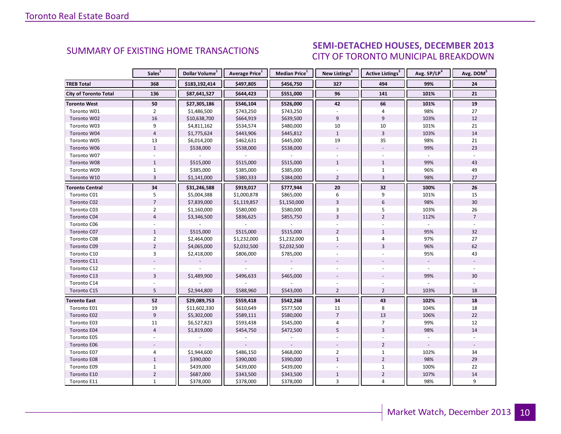#### ECEMBER 2012 CITY OF TORONTO MUNICIPAL BREAKDOWN SUMMARY OF EXISTING HOME TRANSACTIONS **SEMI-DETACHED HOUSES, DECEMBER 2013**

|                              | Sales <sup>1</sup> | Dollar Volume <sup>1</sup> | Average Price <sup>1</sup> | Median Price <sup>1</sup> | New Listings <sup>2</sup> | Active Listings <sup>3</sup> | Avg. SP/LP <sup>4</sup> | Avg. DOM <sup>5</sup> |
|------------------------------|--------------------|----------------------------|----------------------------|---------------------------|---------------------------|------------------------------|-------------------------|-----------------------|
| <b>TREB Total</b>            | 368                | \$183,192,414              | \$497,805                  | \$456,750                 | 327                       | 494                          | 99%                     | 24                    |
| <b>City of Toronto Total</b> | 136                | \$87,641,527               | \$644,423                  | \$551,000                 | 96                        | 141                          | 101%                    | 21                    |
| <b>Toronto West</b>          | 50                 | \$27,305,186               | \$546,104                  | \$526,000                 | 42                        | 66                           | 101%                    | 19                    |
| Toronto W01                  | $\overline{2}$     | \$1,486,500                | \$743,250                  | \$743,250                 |                           | 4                            | 98%                     | 27                    |
| Toronto W02                  | 16                 | \$10,638,700               | \$664,919                  | \$639,500                 | 9                         | $\overline{9}$               | 103%                    | 12                    |
| Toronto W03                  | 9                  | \$4,811,162                | \$534,574                  | \$480,000                 | 10                        | 10                           | 101%                    | 21                    |
| Toronto W04                  | $\overline{4}$     | \$1,775,624                | \$443,906                  | \$445,812                 | $\mathbf{1}$              | 3                            | 103%                    | 14                    |
| Toronto W05                  | 13                 | \$6,014,200                | \$462,631                  | \$445,000                 | 19                        | 35                           | 98%                     | 21                    |
| Toronto W06                  | $\mathbf{1}$       | \$538,000                  | \$538,000                  | \$538,000                 |                           |                              | 99%                     | 23                    |
| Toronto W07                  |                    |                            |                            |                           |                           |                              |                         |                       |
| Toronto W08                  | $\mathbf{1}$       | \$515,000                  | \$515,000                  | \$515,000                 | $\mathbf{1}$              | $\mathbf{1}$                 | 99%                     | 43                    |
| Toronto W09                  | $\mathbf{1}$       | \$385,000                  | \$385,000                  | \$385,000                 |                           | $\mathbf{1}$                 | 96%                     | 49                    |
| Toronto W10                  | $\overline{3}$     | \$1,141,000                | \$380,333                  | \$384,000                 | $\overline{2}$            | 3                            | 98%                     | 27                    |
| Toronto Central              | 34                 | \$31,246,588               | \$919,017                  | \$777,944                 | 20                        | 32                           | 100%                    | 26                    |
| Toronto C01                  | 5                  | \$5,004,388                | \$1,000,878                | \$865,000                 | 6                         | 9                            | 101%                    | 15                    |
| Toronto C02                  | $\overline{7}$     | \$7,839,000                | \$1,119,857                | \$1,150,000               | $\overline{3}$            | 6                            | 98%                     | 30                    |
| Toronto C03                  | $\overline{2}$     | \$1,160,000                | \$580,000                  | \$580,000                 | 3                         | 5                            | 103%                    | 26                    |
| Toronto C04                  | $\overline{4}$     | \$3,346,500                | \$836,625                  | \$855,750                 | $\overline{3}$            | $\overline{2}$               | 112%                    | $\overline{7}$        |
| Toronto C06                  |                    |                            |                            |                           |                           |                              |                         |                       |
| Toronto C07                  | $\mathbf{1}$       | \$515,000                  | \$515,000                  | \$515,000                 | $\overline{2}$            | $\mathbf{1}$                 | 95%                     | 32                    |
| Toronto C08                  | $\overline{2}$     | \$2,464,000                | \$1,232,000                | \$1,232,000               | $\mathbf{1}$              | 4                            | 97%                     | 27                    |
| Toronto C09                  | $\overline{2}$     | \$4,065,000                | \$2,032,500                | \$2,032,500               |                           | $\overline{3}$               | 96%                     | 62                    |
| Toronto C10                  | 3                  | \$2,418,000                | \$806,000                  | \$785,000                 |                           |                              | 95%                     | 43                    |
| Toronto C11                  |                    |                            |                            |                           |                           |                              |                         |                       |
| Toronto C12                  |                    |                            |                            |                           |                           |                              |                         |                       |
| Toronto C13                  | $\overline{3}$     | \$1,489,900                | \$496,633                  | \$465,000                 |                           |                              | 99%                     | 30                    |
| Toronto C14                  |                    |                            |                            |                           |                           |                              |                         |                       |
| Toronto C15                  | 5                  | \$2,944,800                | \$588,960                  | \$543,000                 | $\overline{2}$            | $\overline{2}$               | 103%                    | 18                    |
| <b>Toronto East</b>          | 52                 | \$29,089,753               | \$559,418                  | \$542,268                 | 34                        | 43                           | 102%                    | 18                    |
| Toronto E01                  | 19                 | \$11,602,330               | \$610,649                  | \$577,500                 | 11                        | 8                            | 104%                    | 18                    |
| Toronto E02                  | $\overline{9}$     | \$5,302,000                | \$589,111                  | \$580,000                 | $\overline{7}$            | 13                           | 106%                    | 22                    |
| Toronto E03                  | 11                 | \$6,527,823                | \$593,438                  | \$545,000                 | 4                         | $\overline{7}$               | 99%                     | 12                    |
| Toronto E04                  | $\overline{4}$     | \$1,819,000                | \$454,750                  | \$472,500                 | $\overline{5}$            | $\overline{3}$               | 98%                     | 14                    |
| Toronto E05                  |                    |                            |                            |                           |                           |                              |                         |                       |
| Toronto E06                  |                    |                            |                            |                           |                           | $\overline{2}$               |                         |                       |
| Toronto E07                  | 4                  | \$1,944,600                | \$486,150                  | \$468,000                 | $\overline{2}$            | $\mathbf{1}$                 | 102%                    | 34                    |
| Toronto E08                  | $1\,$              | \$390,000                  | \$390,000                  | \$390,000                 | $\mathbf{1}$              | $\overline{2}$               | 98%                     | 29                    |
| Toronto E09                  | $\mathbf{1}$       | \$439,000                  | \$439,000                  | \$439,000                 |                           | $\mathbf{1}$                 | 100%                    | 22                    |
| Toronto E10                  | $\overline{2}$     | \$687,000                  | \$343,500                  | \$343,500                 | $\mathbf{1}$              | $\overline{2}$               | 107%                    | 14                    |
| Toronto E11                  | $\mathbf{1}$       | \$378,000                  | \$378,000                  | \$378,000                 | 3                         | $\overline{4}$               | 98%                     | 9                     |

<span id="page-9-0"></span>**Page 3 July 2010**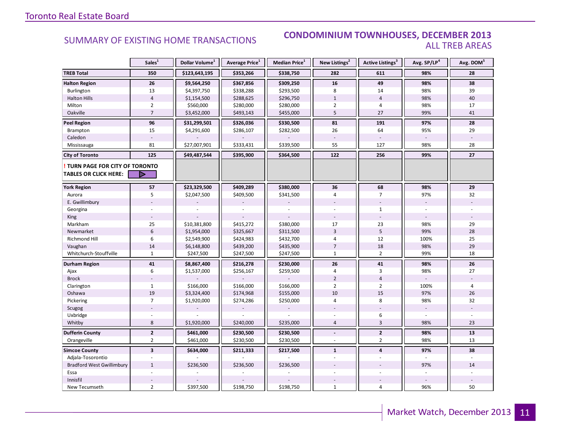### SUMMARY OF EXISTING HOME TRANSACTIONS **CONDOMINIUM TOWNHOUSES, DECEMBER 2013** ALL TREB AREAS

|                                  | Sales <sup>1</sup>      | Dollar Volume <sup>1</sup> | Average Price <sup>1</sup> | Median Price <sup>1</sup> | New Listings <sup>2</sup> | Active Listings <sup>3</sup> | Avg. SP/LP <sup>4</sup>  | Avg. DOM <sup>5</sup> |
|----------------------------------|-------------------------|----------------------------|----------------------------|---------------------------|---------------------------|------------------------------|--------------------------|-----------------------|
| <b>TREB Total</b>                | 350                     | \$123,643,195              | \$353,266                  | \$338,750                 | 282                       | 611                          | 98%                      | 28                    |
| <b>Halton Region</b>             | 26                      | \$9,564,250                | \$367,856                  | \$309,250                 | 16                        | 49                           | 98%                      | 38                    |
| Burlington                       | 13                      | \$4,397,750                | \$338,288                  | \$293,500                 | 8                         | 14                           | 98%                      | 39                    |
| <b>Halton Hills</b>              | $\overline{4}$          | \$1,154,500                | \$288,625                  | \$296,750                 | $\mathbf{1}$              | $\overline{4}$               | 98%                      | 40                    |
| Milton                           | $\overline{2}$          | \$560,000                  | \$280,000                  | \$280,000                 | $\overline{2}$            | 4                            | 98%                      | 17                    |
| Oakville                         | $\overline{7}$          | \$3,452,000                | \$493,143                  | \$455,000                 | 5                         | 27                           | 99%                      | 41                    |
| <b>Peel Region</b>               | 96                      | \$31,299,501               | \$326,036                  | \$330,500                 | 81                        | 191                          | 97%                      | 28                    |
| Brampton                         | 15                      | \$4,291,600                | \$286,107                  | \$282,500                 | 26                        | 64                           | 95%                      | 29                    |
| Caledon                          |                         |                            |                            |                           |                           |                              |                          |                       |
| Mississauga                      | 81                      | \$27,007,901               | \$333,431                  | \$339,500                 | 55                        | 127                          | 98%                      | 28                    |
| <b>City of Toronto</b>           | 125                     | \$49,487,544               | \$395,900                  | \$364,500                 | 122                       | 256                          | 99%                      | 27                    |
| TURN PAGE FOR CITY OF TORONTO    |                         |                            |                            |                           |                           |                              |                          |                       |
| <b>TABLES OR CLICK HERE:</b>     | D                       |                            |                            |                           |                           |                              |                          |                       |
| <b>York Region</b>               | 57                      | \$23,329,500               | \$409,289                  | \$380,000                 | 36                        | 68                           | 98%                      | 29                    |
| Aurora                           | 5                       | \$2,047,500                | \$409,500                  | \$341,500                 | $\overline{4}$            | $\overline{7}$               | 97%                      | 32                    |
| E. Gwillimbury                   |                         |                            |                            |                           |                           |                              | $\overline{\phantom{a}}$ |                       |
| Georgina                         |                         |                            |                            |                           |                           | $\mathbf{1}$                 |                          |                       |
| <b>King</b>                      |                         |                            |                            |                           |                           |                              |                          |                       |
| Markham                          | 25                      | \$10,381,800               | \$415,272                  | \$380,000                 | 17                        | 23                           | 98%                      | 29                    |
| Newmarket                        | $6\phantom{1}$          | \$1,954,000                | \$325,667                  | \$311,500                 | $\overline{3}$            | $5\phantom{.0}$              | 99%                      | 28                    |
| <b>Richmond Hill</b>             | 6                       | \$2,549,900                | \$424,983                  | \$432,700                 | 4                         | 12                           | 100%                     | 25                    |
| Vaughan                          | 14                      | \$6,148,800                | \$439,200                  | \$435,900                 | $\overline{7}$            | 18                           | 98%                      | 29                    |
| Whitchurch-Stouffville           | $\mathbf{1}$            | \$247,500                  | \$247,500                  | \$247,500                 | $\mathbf{1}$              | $\overline{2}$               | 99%                      | 18                    |
| Durham Region                    | 41                      | \$8,867,400                | \$216,278                  | \$230,000                 | 26                        | 41                           | 98%                      | 26                    |
| Ajax                             | 6                       | \$1,537,000                | \$256,167                  | \$259,500                 | 4                         | 3                            | 98%                      | 27                    |
| <b>Brock</b>                     |                         |                            |                            |                           | $\overline{2}$            | $\overline{4}$               |                          |                       |
| Clarington                       | $\mathbf{1}$            | \$166,000                  | \$166,000                  | \$166,000                 | $\overline{2}$            | $\overline{2}$               | 100%                     | $\overline{4}$        |
| Oshawa                           | 19                      | \$3,324,400                | \$174,968                  | \$155,000                 | 10                        | 15                           | 97%                      | 26                    |
| Pickering                        | $\overline{7}$          | \$1,920,000                | \$274,286                  | \$250,000                 | 4                         | 8                            | 98%                      | 32                    |
| Scugog                           |                         |                            |                            |                           |                           |                              |                          |                       |
| Uxbridge                         |                         |                            |                            |                           |                           | 6                            |                          |                       |
| Whitby                           | 8                       | \$1,920,000                | \$240,000                  | \$235,000                 | $\overline{4}$            | $\overline{3}$               | 98%                      | 23                    |
| <b>Dufferin County</b>           | $\overline{2}$          | \$461,000                  | \$230,500                  | \$230,500                 | $\blacksquare$            | $\overline{2}$               | 98%                      | 13                    |
| Orangeville                      | $\overline{2}$          | \$461,000                  | \$230,500                  | \$230,500                 | $\overline{a}$            | $\overline{2}$               | 98%                      | 13                    |
| <b>Simcoe County</b>             | $\overline{\mathbf{3}}$ | \$634,000                  | \$211,333                  | \$217,500                 | $\mathbf{1}$              | $\overline{\mathbf{4}}$      | 97%                      | 38                    |
| Adjala-Tosorontio                |                         |                            |                            |                           |                           |                              |                          |                       |
| <b>Bradford West Gwillimbury</b> | $\mathbf{1}$            | \$236,500                  | \$236,500                  | \$236,500                 |                           |                              | 97%                      | 14                    |
| Essa                             |                         |                            |                            |                           |                           |                              |                          |                       |
| Innisfil                         |                         |                            |                            |                           |                           |                              |                          |                       |
| New Tecumseth                    | $\overline{2}$          | \$397,500                  | \$198,750                  | \$198,750                 | $\mathbf{1}$              | $\overline{4}$               | 96%                      | 50                    |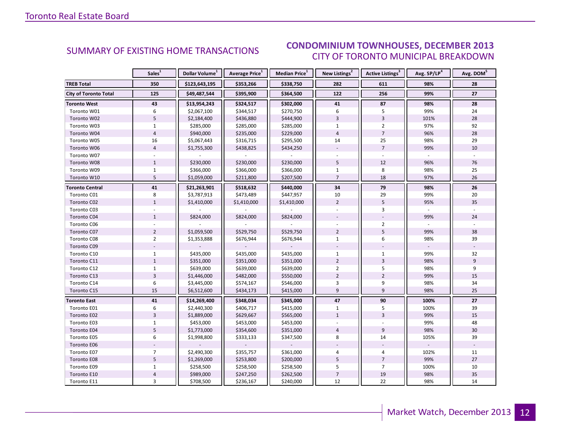#### ECEMBER 2012 CITY OF TORONTO MUNICIPAL BREAKDOWN SUMMARY OF EXISTING HOME TRANSACTIONS **CONDOMINIUM TOWNHOUSES, DECEMBER 2013**

<span id="page-11-0"></span>

|                              | Sales <sup>1</sup> | Dollar Volume <sup>1</sup> | Average Price <sup>1</sup> | Median Price <sup>1</sup> | New Listings <sup>2</sup> | Active Listings <sup>3</sup> | Avg. SP/LP <sup>4</sup> | Avg. DOM <sup>5</sup> |
|------------------------------|--------------------|----------------------------|----------------------------|---------------------------|---------------------------|------------------------------|-------------------------|-----------------------|
| <b>TREB Total</b>            | 350                | \$123,643,195              | \$353,266                  | \$338,750                 | 282                       | 611                          | 98%                     | 28                    |
| <b>City of Toronto Total</b> | 125                | \$49,487,544               | \$395,900                  | \$364,500                 | 122                       | 256                          | 99%                     | 27                    |
| <b>Toronto West</b>          | 43                 | \$13,954,243               | \$324,517                  | \$302,000                 | 41                        | 87                           | 98%                     | 28                    |
| Toronto W01                  | 6                  | \$2,067,100                | \$344,517                  | \$270,750                 | 6                         | 5                            | 99%                     | 24                    |
| Toronto W02                  | 5                  | \$2,184,400                | \$436,880                  | \$444,900                 | $\overline{3}$            | $\overline{3}$               | 101%                    | 28                    |
| Toronto W03                  | $\mathbf{1}$       | \$285,000                  | \$285,000                  | \$285,000                 | $\mathbf{1}$              | $\overline{2}$               | 97%                     | 92                    |
| Toronto W04                  | $\overline{4}$     | \$940,000                  | \$235,000                  | \$229,000                 | $\overline{4}$            | $\overline{7}$               | 96%                     | 28                    |
| Toronto W05                  | 16                 | \$5,067,443                | \$316,715                  | \$295,500                 | 14                        | 25                           | 98%                     | 29                    |
| Toronto W06                  | $\overline{4}$     | \$1,755,300                | \$438,825                  | \$434,250                 | $\bar{a}$                 | $\overline{7}$               | 99%                     | 10                    |
| Toronto W07                  |                    |                            |                            |                           |                           |                              |                         |                       |
| Toronto W08                  | $\mathbf{1}$       | \$230,000                  | \$230,000                  | \$230,000                 | 5                         | 12                           | 96%                     | 76                    |
| Toronto W09                  | $\mathbf{1}$       | \$366,000                  | \$366,000                  | \$366,000                 | $\mathbf{1}$              | 8                            | 98%                     | 25                    |
| Toronto W10                  | 5                  | \$1,059,000                | \$211,800                  | \$207,500                 | $\overline{7}$            | 18                           | 97%                     | 26                    |
| <b>Toronto Central</b>       | 41                 | \$21,263,901               | \$518,632                  | \$440,000                 | 34                        | 79                           | 98%                     | 26                    |
| Toronto C01                  | 8                  | \$3,787,913                | \$473,489                  | \$447,957                 | 10                        | 29                           | 99%                     | 20                    |
| Toronto C02                  | $\mathbf{1}$       | \$1,410,000                | \$1,410,000                | \$1,410,000               | $\overline{2}$            | 5                            | 95%                     | 35                    |
| Toronto C03                  |                    |                            |                            |                           |                           | 3                            |                         |                       |
| Toronto C04                  | $\mathbf{1}$       | \$824,000                  | \$824,000                  | \$824,000                 |                           |                              | 99%                     | 24                    |
| Toronto C06                  |                    |                            |                            |                           |                           | $\overline{2}$               |                         |                       |
| Toronto C07                  | $\overline{2}$     | \$1,059,500                | \$529,750                  | \$529,750                 | $\overline{2}$            | 5                            | 99%                     | 38                    |
| Toronto C08                  | $\overline{2}$     | \$1,353,888                | \$676,944                  | \$676,944                 | $\mathbf{1}$              | 6                            | 98%                     | 39                    |
| Toronto C09                  |                    |                            |                            |                           |                           |                              |                         |                       |
| Toronto C10                  | $\mathbf{1}$       | \$435,000                  | \$435,000                  | \$435,000                 | $\mathbf{1}$              | $\mathbf{1}$                 | 99%                     | 32                    |
| Toronto C11                  | $\mathbf{1}$       | \$351,000                  | \$351,000                  | \$351,000                 | $\overline{2}$            | $\overline{3}$               | 98%                     | 9                     |
| Toronto C12                  | $\mathbf{1}$       | \$639,000                  | \$639,000                  | \$639,000                 | $\overline{2}$            | 5                            | 98%                     | 9                     |
| Toronto C13                  | $\overline{3}$     | \$1,446,000                | \$482,000                  | \$550,000                 | $\overline{2}$            | $\overline{2}$               | 99%                     | 15                    |
| Toronto C14                  | 6                  | \$3,445,000                | \$574,167                  | \$546,000                 | 3                         | 9                            | 98%                     | 34                    |
| Toronto C15                  | 15                 | \$6,512,600                | \$434,173                  | \$415,000                 | 9                         | 9                            | 98%                     | 25                    |
| <b>Toronto East</b>          | 41                 | \$14,269,400               | \$348,034                  | \$345,000                 | 47                        | 90                           | 100%                    | 27                    |
| Toronto E01                  | 6                  | \$2,440,300                | \$406,717                  | \$415,000                 | $\mathbf{1}$              | 5                            | 100%                    | 39                    |
| Toronto E02                  | $\overline{3}$     | \$1,889,000                | \$629,667                  | \$565,000                 | $\mathbf{1}$              | $\overline{3}$               | 99%                     | 15                    |
| Toronto E03                  | $\mathbf{1}$       | \$453,000                  | \$453,000                  | \$453,000                 |                           |                              | 99%                     | 48                    |
| Toronto E04                  | 5                  | \$1,773,000                | \$354,600                  | \$351,000                 | $\overline{4}$            | 9                            | 98%                     | 30                    |
| Toronto E05                  | 6                  | \$1,998,800                | \$333,133                  | \$347,500                 | 8                         | 14                           | 105%                    | 39                    |
| Toronto E06                  |                    |                            |                            |                           |                           |                              |                         |                       |
| Toronto E07                  | $\overline{7}$     | \$2,490,300                | \$355,757                  | \$361,000                 | 4                         | $\overline{4}$               | 102%                    | 11                    |
| Toronto E08                  | 5                  | \$1,269,000                | \$253,800                  | \$200,000                 | 5                         | $\overline{7}$               | 99%                     | 27                    |
| Toronto E09                  | $\mathbf{1}$       | \$258,500                  | \$258,500                  | \$258,500                 | 5                         | $\overline{7}$               | 100%                    | 10                    |
| Toronto E10                  | $\overline{4}$     | \$989,000                  | \$247,250                  | \$262,500                 | $\overline{7}$            | 19                           | 98%                     | 35                    |
| Toronto E11                  | 3                  | \$708,500                  | \$236,167                  | \$240,000                 | 12                        | 22                           | 98%                     | 14                    |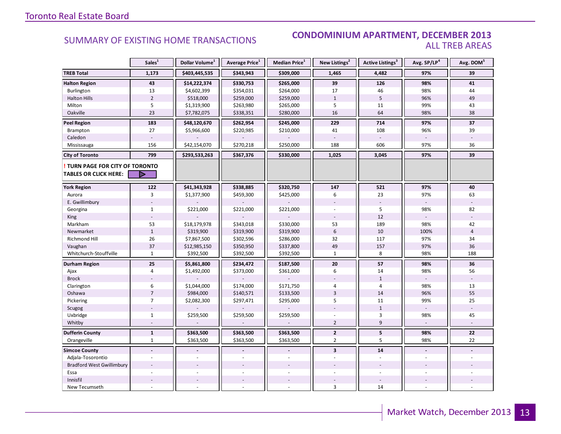### SUMMARY OF EXISTING HOME TRANSACTIONS **CONDOMINIUM APARTMENT, DECEMBER 2013** ALL TREB AREAS

|                                  | Sales <sup>1</sup> | Dollar Volume <sup>1</sup> | Average Price <sup>1</sup> | <b>Median Price</b> <sup>1</sup> | New Listings <sup>2</sup> | <b>Active Listings<sup>3</sup></b> | Avg. SP/LP <sup>4</sup> | Avg. DOM <sup>5</sup> |
|----------------------------------|--------------------|----------------------------|----------------------------|----------------------------------|---------------------------|------------------------------------|-------------------------|-----------------------|
| <b>TREB Total</b>                | 1,173              | \$403,445,535              | \$343,943                  | \$309,000                        | 1,465                     | 4,482                              | 97%                     | 39                    |
| <b>Halton Region</b>             | 43                 | \$14,222,374               | \$330,753                  | \$265,000                        | 39                        | 126                                | 98%                     | 41                    |
| Burlington                       | 13                 | \$4,602,399                | \$354,031                  | \$264,000                        | 17                        | 46                                 | 98%                     | 44                    |
| <b>Halton Hills</b>              | $\overline{2}$     | \$518,000                  | \$259,000                  | \$259,000                        | $\mathbf{1}$              | 5                                  | 96%                     | 49                    |
| Milton                           | 5                  | \$1,319,900                | \$263,980                  | \$265,000                        | 5                         | 11                                 | 99%                     | 43                    |
| Oakville                         | 23                 | \$7,782,075                | \$338,351                  | \$280,000                        | 16                        | 64                                 | 98%                     | 38                    |
| <b>Peel Region</b>               | 183                | \$48,120,670               | \$262,954                  | \$245,000                        | 229                       | 714                                | 97%                     | 37                    |
| Brampton                         | 27                 | \$5,966,600                | \$220,985                  | \$210,000                        | 41                        | 108                                | 96%                     | 39                    |
| Caledon                          |                    |                            |                            |                                  |                           |                                    |                         |                       |
| Mississauga                      | 156                | \$42,154,070               | \$270,218                  | \$250,000                        | 188                       | 606                                | 97%                     | 36                    |
| <b>City of Toronto</b>           | 799                | \$293,533,263              | \$367,376                  | \$330,000                        | 1,025                     | 3,045                              | 97%                     | 39                    |
| TURN PAGE FOR CITY OF TORONTO    |                    |                            |                            |                                  |                           |                                    |                         |                       |
| <b>TABLES OR CLICK HERE:</b>     | D                  |                            |                            |                                  |                           |                                    |                         |                       |
| <b>York Region</b>               | 122                | \$41,343,928               | \$338,885                  | \$320,750                        | 147                       | 521                                | 97%                     | 40                    |
| Aurora                           | $\overline{3}$     | \$1,377,900                | \$459,300                  | \$425,000                        | 6                         | 23                                 | 97%                     | 63                    |
| E. Gwillimbury                   |                    |                            |                            |                                  |                           |                                    |                         |                       |
| Georgina                         | $\mathbf{1}$       | \$221,000                  | \$221,000                  | \$221,000                        |                           | 5                                  | 98%                     | 82                    |
| King                             |                    |                            |                            |                                  | $\overline{\phantom{a}}$  | 12                                 |                         |                       |
| Markham                          | 53                 | \$18,179,978               | \$343,018                  | \$330,000                        | 53                        | 189                                | 98%                     | 42                    |
| Newmarket                        | $\mathbf{1}$       | \$319,900                  | \$319,900                  | \$319,900                        | $6\phantom{a}$            | 10                                 | 100%                    | $\overline{4}$        |
| Richmond Hill                    | 26                 | \$7,867,500                | \$302,596                  | \$286,000                        | 32                        | 117                                | 97%                     | 34                    |
| Vaughan                          | 37                 | \$12,985,150               | \$350,950                  | \$337,800                        | 49                        | 157                                | 97%                     | 36                    |
| Whitchurch-Stouffville           | $\mathbf{1}$       | \$392,500                  | \$392,500                  | \$392,500                        | $\mathbf{1}$              | 8                                  | 98%                     | 188                   |
| Durham Region                    | 25                 | \$5,861,800                | \$234,472                  | \$187,500                        | ${\bf 20}$                | 57                                 | 98%                     | 36                    |
| Ajax                             | 4                  | \$1,492,000                | \$373,000                  | \$361,000                        | 6                         | 14                                 | 98%                     | 56                    |
| <b>Brock</b>                     |                    |                            |                            |                                  |                           | $\mathbf{1}$                       |                         |                       |
| Clarington                       | 6                  | \$1,044,000                | \$174,000                  | \$171,750                        | 4                         | $\overline{4}$                     | 98%                     | 13                    |
| Oshawa                           | $\overline{7}$     | \$984,000                  | \$140,571                  | \$133,500                        | $\overline{3}$            | 14                                 | 96%                     | 55                    |
| Pickering                        | $\overline{7}$     | \$2,082,300                | \$297,471                  | \$295,000                        | 5                         | 11                                 | 99%                     | 25                    |
| Scugog                           |                    |                            |                            |                                  |                           | $\mathbf{1}$                       |                         |                       |
| Uxbridge                         | $\mathbf{1}$       | \$259,500                  | \$259,500                  | \$259,500                        |                           | 3                                  | 98%                     | 45                    |
| Whitby                           | $\overline{a}$     |                            |                            |                                  | $\overline{2}$            | 9                                  |                         |                       |
| <b>Dufferin County</b>           | $\mathbf{1}$       | \$363,500                  | \$363,500                  | \$363,500                        | $\mathbf{2}$              | 5                                  | 98%                     | 22                    |
| Orangeville                      | $\mathbf{1}$       | \$363,500                  | \$363,500                  | \$363,500                        | $\overline{2}$            | 5                                  | 98%                     | 22                    |
| <b>Simcoe County</b>             | $\blacksquare$     |                            | $\overline{a}$             | $\overline{a}$                   | $\overline{\mathbf{3}}$   | 14                                 | $\blacksquare$          |                       |
| Adjala-Tosorontio                |                    |                            |                            |                                  |                           |                                    |                         |                       |
| <b>Bradford West Gwillimbury</b> |                    |                            |                            |                                  |                           |                                    |                         |                       |
| Essa                             |                    |                            |                            |                                  |                           |                                    |                         |                       |
| Innisfil                         |                    |                            |                            |                                  |                           |                                    |                         |                       |
| New Tecumseth                    |                    |                            |                            | ä,                               | $\overline{\mathbf{3}}$   | 14                                 |                         |                       |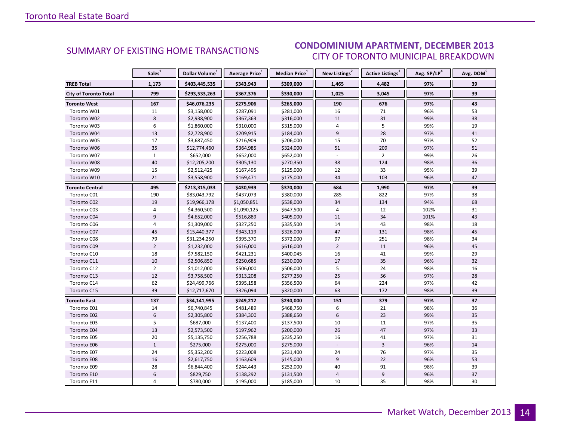#### ECEMBER 2012 CITY OF TORONTO MUNICIPAL BREAKDOWN SUMMARY OF EXISTING HOME TRANSACTIONS **CONDOMINIUM APARTMENT, DECEMBER 2013**

<span id="page-13-0"></span>

|                              | Sales <sup>1</sup> | Dollar Volume <sup>1</sup> | Average Price <sup>1</sup> | Median Price <sup>1</sup> | New Listings <sup>2</sup> | Active Listings <sup>3</sup> | Avg. SP/LP <sup>4</sup> | Avg. DOM <sup>5</sup> |
|------------------------------|--------------------|----------------------------|----------------------------|---------------------------|---------------------------|------------------------------|-------------------------|-----------------------|
| <b>TREB Total</b>            | 1,173              | \$403,445,535              | \$343,943                  | \$309,000                 | 1,465                     | 4,482                        | 97%                     | 39                    |
| <b>City of Toronto Total</b> | 799                | \$293,533,263              | \$367,376                  | \$330,000                 | 1,025                     | 3,045                        | 97%                     | 39                    |
| <b>Toronto West</b>          | 167                | \$46,076,235               | \$275,906                  | \$265,000                 | 190                       | 676                          | 97%                     | 43                    |
| Toronto W01                  | 11                 | \$3,158,000                | \$287,091                  | \$281,000                 | 16                        | 71                           | 96%                     | 53                    |
| Toronto W02                  | 8                  | \$2,938,900                | \$367,363                  | \$316,000                 | 11                        | 31                           | 99%                     | 38                    |
| Toronto W03                  | 6                  | \$1,860,000                | \$310,000                  | \$315,000                 | 4                         | 5                            | 99%                     | 19                    |
| Toronto W04                  | 13                 | \$2,728,900                | \$209,915                  | \$184,000                 | 9                         | 28                           | 97%                     | 41                    |
| Toronto W05                  | 17                 | \$3,687,450                | \$216,909                  | \$206,000                 | 15                        | 70                           | 97%                     | 52                    |
| Toronto W06                  | 35                 | \$12,774,460               | \$364,985                  | \$324,000                 | 51                        | 209                          | 97%                     | 51                    |
| Toronto W07                  | $\mathbf{1}$       | \$652,000                  | \$652,000                  | \$652,000                 | $\Box$                    | $\overline{2}$               | 99%                     | 26                    |
| Toronto W08                  | 40                 | \$12,205,200               | \$305,130                  | \$270,350                 | 38                        | 124                          | 98%                     | 36                    |
| Toronto W09                  | 15                 | \$2,512,425                | \$167,495                  | \$125,000                 | 12                        | 33                           | 95%                     | 39                    |
| Toronto W10                  | 21                 | \$3,558,900                | \$169,471                  | \$175,000                 | 34                        | 103                          | 96%                     | 47                    |
| Toronto Central              | 495                | \$213,315,033              | \$430,939                  | \$370,000                 | 684                       | 1,990                        | 97%                     | 39                    |
| Toronto C01                  | 190                | \$83,043,792               | \$437,073                  | \$380,000                 | 285                       | 822                          | 97%                     | 38                    |
| Toronto C02                  | 19                 | \$19,966,178               | \$1,050,851                | \$538,000                 | 34                        | 134                          | 94%                     | 68                    |
| Toronto C03                  | 4                  | \$4,360,500                | \$1,090,125                | \$647,500                 | $\overline{4}$            | 12                           | 102%                    | 31                    |
| Toronto C04                  | 9                  | \$4,652,000                | \$516,889                  | \$405,000                 | 11                        | 34                           | 101%                    | 43                    |
| Toronto C06                  | 4                  | \$1,309,000                | \$327,250                  | \$335,500                 | 14                        | 43                           | 98%                     | 18                    |
| Toronto C07                  | 45                 | \$15,440,377               | \$343,119                  | \$326,000                 | 47                        | 131                          | 98%                     | 45                    |
| Toronto C08                  | 79                 | \$31,234,250               | \$395,370                  | \$372,000                 | 97                        | 251                          | 98%                     | 34                    |
| Toronto C09                  | $\overline{2}$     | \$1,232,000                | \$616,000                  | \$616,000                 | $\overline{2}$            | 11                           | 96%                     | 45                    |
| Toronto C10                  | 18                 | \$7,582,150                | \$421,231                  | \$400,045                 | 16                        | 41                           | 99%                     | 29                    |
| Toronto C11                  | 10                 | \$2,506,850                | \$250,685                  | \$230,000                 | 17                        | 35                           | 96%                     | 32                    |
| Toronto C12                  | $\overline{2}$     | \$1,012,000                | \$506,000                  | \$506,000                 | 5                         | 24                           | 98%                     | 16                    |
| Toronto C13                  | 12                 | \$3,758,500                | \$313,208                  | \$277,250                 | 25                        | 56                           | 97%                     | 28                    |
| Toronto C14                  | 62                 | \$24,499,766               | \$395,158                  | \$356,500                 | 64                        | 224                          | 97%                     | 42                    |
| Toronto C15                  | 39                 | \$12,717,670               | \$326,094                  | \$320,000                 | 63                        | 172                          | 98%                     | 39                    |
| <b>Toronto East</b>          | 137                | \$34,141,995               | \$249,212                  | \$230,000                 | 151                       | 379                          | 97%                     | 37                    |
| Toronto E01                  | 14                 | \$6,740,845                | \$481,489                  | \$468,750                 | 6                         | 21                           | 98%                     | 36                    |
| Toronto E02                  | $6\phantom{1}$     | \$2,305,800                | \$384,300                  | \$388,650                 | $6\,$                     | 23                           | 99%                     | 35                    |
| Toronto E03                  | 5                  | \$687,000                  | \$137,400                  | \$137,500                 | 10                        | 11                           | 97%                     | 35                    |
| Toronto E04                  | 13                 | \$2,573,500                | \$197,962                  | \$200,000                 | 26                        | 47                           | 97%                     | 33                    |
| Toronto E05                  | 20                 | \$5,135,750                | \$256,788                  | \$235,250                 | 16                        | 41                           | 97%                     | 31                    |
| Toronto E06                  | $1\,$              | \$275,000                  | \$275,000                  | \$275,000                 |                           | $\overline{3}$               | 96%                     | 14                    |
| Toronto E07                  | 24                 | \$5,352,200                | \$223,008                  | \$231,400                 | 24                        | 76                           | 97%                     | 35                    |
| Toronto E08                  | 16                 | \$2,617,750                | \$163,609                  | \$145,000                 | 9                         | 22                           | 96%                     | 53                    |
| Toronto E09                  | 28                 | \$6,844,400                | \$244,443                  | \$252,000                 | 40                        | 91                           | 98%                     | 39                    |
| Toronto E10                  | $\boldsymbol{6}$   | \$829,750                  | \$138,292                  | \$131,500                 | $\sqrt{4}$                | $\boldsymbol{9}$             | 96%                     | 37                    |
| Toronto E11                  | 4                  | \$780,000                  | \$195,000                  | \$185,000                 | 10                        | 35                           | 98%                     | 30                    |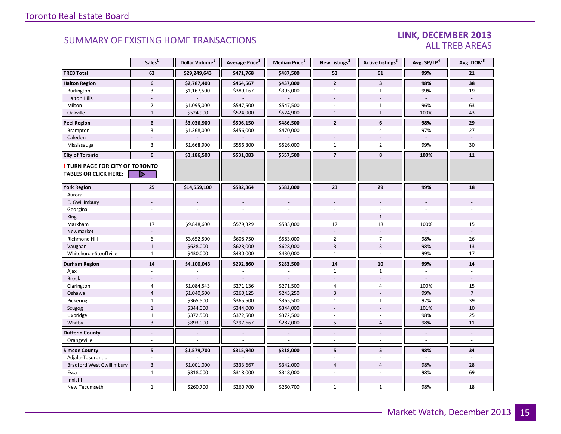### LINK, DECEMBER 2013 ALL TREB AREAS

|                                  | Sales <sup>1</sup> | Dollar Volume <sup>1</sup> | Average Price <sup>1</sup> | Median Price <sup>1</sup> | New Listings <sup>2</sup> | Active Listings <sup>3</sup> | Avg. SP/LP <sup>4</sup> | Avg. DOM <sup>5</sup> |
|----------------------------------|--------------------|----------------------------|----------------------------|---------------------------|---------------------------|------------------------------|-------------------------|-----------------------|
| <b>TREB Total</b>                | 62                 | \$29,249,643               | \$471,768                  | \$487,500                 | 53                        | 61                           | 99%                     | 21                    |
| <b>Halton Region</b>             | 6                  | \$2,787,400                | \$464,567                  | \$437,000                 | $\overline{2}$            | $\overline{\mathbf{3}}$      | 98%                     | 38                    |
| Burlington                       | 3                  | \$1,167,500                | \$389,167                  | \$395,000                 | $\mathbf{1}$              | $\mathbf{1}$                 | 99%                     | 19                    |
| <b>Halton Hills</b>              |                    |                            |                            |                           |                           |                              | $\blacksquare$          |                       |
| Milton                           | $\overline{2}$     | \$1,095,000                | \$547,500                  | \$547,500                 |                           | $\mathbf{1}$                 | 96%                     | 63                    |
| Oakville                         | $\mathbf{1}$       | \$524,900                  | \$524,900                  | \$524,900                 | $\mathbf{1}$              | $\,1\,$                      | 100%                    | 43                    |
| <b>Peel Region</b>               | $\boldsymbol{6}$   | \$3,036,900                | \$506,150                  | \$486,500                 | $\overline{2}$            | 6                            | 98%                     | 29                    |
| Brampton                         | 3                  | \$1,368,000                | \$456,000                  | \$470,000                 | $\mathbf{1}$              | $\overline{4}$               | 97%                     | 27                    |
| Caledon                          |                    |                            |                            |                           |                           |                              |                         |                       |
| Mississauga                      | 3                  | \$1,668,900                | \$556,300                  | \$526,000                 | $\mathbf{1}$              | $\overline{2}$               | 99%                     | 30                    |
| <b>City of Toronto</b>           | 6                  | \$3,186,500                | \$531,083                  | \$557,500                 | $\overline{7}$            | 8                            | 100%                    | 11                    |
| TURN PAGE FOR CITY OF TORONTO    |                    |                            |                            |                           |                           |                              |                         |                       |
| <b>TABLES OR CLICK HERE:</b>     |                    |                            |                            |                           |                           |                              |                         |                       |
| <b>York Region</b>               | 25                 | \$14,559,100               | \$582,364                  | \$583,000                 | 23                        | 29                           | 99%                     | 18                    |
| Aurora                           |                    |                            |                            |                           |                           |                              |                         |                       |
| E. Gwillimbury                   |                    |                            |                            |                           |                           |                              |                         |                       |
| Georgina                         |                    |                            |                            |                           |                           |                              |                         |                       |
| King                             |                    |                            |                            |                           |                           | $\mathbf{1}$                 |                         |                       |
| Markham                          | 17                 | \$9,848,600                | \$579,329                  | \$583,000                 | 17                        | 18                           | 100%                    | 15                    |
| Newmarket                        |                    |                            |                            |                           |                           |                              |                         |                       |
| <b>Richmond Hill</b>             | 6                  | \$3,652,500                | \$608,750                  | \$583,000                 | $\overline{2}$            | $\overline{7}$               | 98%                     | 26                    |
| Vaughan                          | $\mathbf{1}$       | \$628,000                  | \$628,000                  | \$628,000                 | 3                         | $\overline{3}$               | 98%                     | 13                    |
| Whitchurch-Stouffville           | $\mathbf{1}$       | \$430,000                  | \$430,000                  | \$430,000                 | $1\,$                     | $\omega$                     | 99%                     | 17                    |
| <b>Durham Region</b>             | 14                 | \$4,100,043                | \$292,860                  | \$283,500                 | 14                        | 10                           | 99%                     | 14                    |
| Ajax                             |                    |                            |                            |                           | $\mathbf{1}$              | $\mathbf{1}$                 |                         |                       |
| <b>Brock</b>                     |                    |                            |                            |                           |                           |                              |                         |                       |
| Clarington                       | 4                  | \$1,084,543                | \$271,136                  | \$271,500                 | 4                         | $\overline{4}$               | 100%                    | 15                    |
| Oshawa                           | $\overline{4}$     | \$1,040,500                | \$260,125                  | \$245,250                 | $\overline{3}$            |                              | 99%                     | $\overline{7}$        |
| Pickering                        | $\mathbf{1}$       | \$365,500                  | \$365,500                  | \$365,500                 | $\mathbf{1}$              | $\mathbf{1}$                 | 97%                     | 39                    |
| Scugog                           | $\mathbf{1}$       | \$344,000                  | \$344,000                  | \$344,000                 |                           |                              | 101%                    | 10                    |
| Uxbridge                         | $\mathbf{1}$       | \$372,500                  | \$372,500                  | \$372,500                 |                           |                              | 98%                     | 25                    |
| Whitby                           | $\overline{3}$     | \$893,000                  | \$297,667                  | \$287,000                 | 5                         | $\overline{4}$               | 98%                     | 11                    |
| <b>Dufferin County</b>           | $\overline{a}$     |                            |                            |                           | $\blacksquare$            | $\blacksquare$               | $\blacksquare$          | L.                    |
| Orangeville                      | $\bar{a}$          |                            |                            |                           |                           | $\bar{\phantom{a}}$          | $\blacksquare$          | $\blacksquare$        |
| <b>Simcoe County</b>             | 5                  | \$1,579,700                | \$315,940                  | \$318,000                 | 5                         | 5                            | 98%                     | 34                    |
| Adjala-Tosorontio                |                    |                            |                            |                           |                           |                              |                         |                       |
| <b>Bradford West Gwillimbury</b> | $\overline{3}$     | \$1,001,000                | \$333,667                  | \$342,000                 | 4                         | $\overline{4}$               | 98%                     | 28                    |
| Essa                             | $\mathbf{1}$       | \$318,000                  | \$318,000                  | \$318,000                 |                           |                              | 98%                     | 69                    |
| Innisfil                         |                    |                            |                            |                           |                           |                              |                         |                       |
| New Tecumseth                    | $\mathbf{1}$       | \$260,700                  | \$260,700                  | \$260,700                 | $\mathbf{1}$              | $\mathbf{1}$                 | 98%                     | 18                    |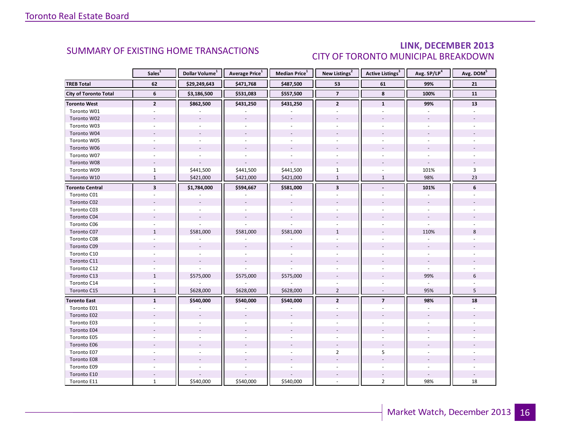### LINK, DECEMBER 2013 CITY OF TORONTO MUNICIPAL BREAKDOWN

<span id="page-15-0"></span>

|                              | Sales <sup>1</sup>      | Dollar Volume <sup>1</sup> | Average Price <sup>1</sup> | Median Price <sup>1</sup> | New Listings <sup>2</sup> | Active Listings <sup>3</sup> | Avg. SP/LP <sup>4</sup> | Avg. DOM <sup>5</sup> |
|------------------------------|-------------------------|----------------------------|----------------------------|---------------------------|---------------------------|------------------------------|-------------------------|-----------------------|
| <b>TREB Total</b>            | 62                      | \$29,249,643               | \$471,768                  | \$487,500                 | 53                        | 61                           | 99%                     | 21                    |
| <b>City of Toronto Total</b> | 6                       | \$3,186,500                | \$531,083                  | \$557,500                 | $\overline{\phantom{a}}$  | 8                            | 100%                    | 11                    |
| <b>Toronto West</b>          | $\mathbf{2}$            | \$862,500                  | \$431,250                  | \$431,250                 | $\overline{2}$            | $\mathbf{1}$                 | 99%                     | 13                    |
| Toronto W01                  |                         |                            |                            |                           |                           |                              |                         |                       |
| Toronto W02                  |                         |                            |                            |                           |                           |                              |                         |                       |
| Toronto W03                  | $\overline{a}$          |                            |                            | $\overline{a}$            | $\overline{a}$            |                              |                         |                       |
| Toronto W04                  |                         |                            |                            |                           |                           |                              |                         |                       |
| Toronto W05                  |                         |                            |                            |                           |                           |                              |                         |                       |
| Toronto W06                  |                         |                            |                            |                           |                           |                              |                         |                       |
| Toronto W07                  |                         | ÷.                         | $\bar{a}$                  | $\sim$                    | ÷.                        | ÷                            | ÷.                      |                       |
| Toronto W08                  |                         |                            |                            |                           |                           |                              |                         |                       |
| Toronto W09                  | $\mathbf{1}$            | \$441,500                  | \$441,500                  | \$441,500                 | $\mathbf{1}$              |                              | 101%                    | $\overline{3}$        |
| Toronto W10                  | $\mathbf{1}$            | \$421,000                  | \$421,000                  | \$421,000                 | $\mathbf{1}$              | $\mathbf{1}$                 | 98%                     | 23                    |
| <b>Toronto Central</b>       | $\overline{\mathbf{3}}$ | \$1,784,000                | \$594,667                  | \$581,000                 | $\overline{\mathbf{3}}$   |                              | 101%                    | 6                     |
| Toronto C01                  |                         |                            |                            |                           |                           |                              |                         |                       |
| Toronto C02                  |                         |                            |                            |                           |                           |                              | $\blacksquare$          |                       |
| Toronto C03                  |                         |                            |                            | $\sim$                    | ÷                         |                              | ÷.                      |                       |
| Toronto C04                  |                         |                            |                            |                           |                           |                              |                         |                       |
| Toronto C06                  |                         |                            |                            |                           |                           |                              |                         |                       |
| Toronto C07                  | $\mathbf{1}$            | \$581,000                  | \$581,000                  | \$581,000                 | $\mathbf{1}$              |                              | 110%                    | 8                     |
| Toronto C08                  |                         |                            |                            |                           |                           |                              |                         |                       |
| Toronto C09                  |                         |                            |                            |                           |                           |                              |                         |                       |
| Toronto C10                  |                         |                            |                            |                           |                           |                              |                         |                       |
| Toronto C11                  |                         |                            |                            |                           |                           |                              |                         |                       |
| Toronto C12                  |                         |                            |                            |                           |                           |                              |                         |                       |
| Toronto C13                  | $\mathbf{1}$            | \$575,000                  | \$575,000                  | \$575,000                 |                           |                              | 99%                     | 6                     |
| Toronto C14                  |                         |                            |                            |                           |                           |                              |                         |                       |
| Toronto C15                  | $\mathbf{1}$            | \$628,000                  | \$628,000                  | \$628,000                 | $\overline{2}$            | $\overline{a}$               | 95%                     | 5                     |
| <b>Toronto East</b>          | $\mathbf{1}$            | \$540,000                  | \$540,000                  | \$540,000                 | $\overline{2}$            | $\overline{7}$               | 98%                     | 18                    |
| Toronto E01                  |                         |                            |                            |                           |                           |                              |                         |                       |
| Toronto E02                  |                         |                            |                            |                           |                           |                              |                         |                       |
| Toronto E03                  |                         |                            |                            |                           |                           |                              |                         |                       |
| Toronto E04                  |                         |                            |                            |                           |                           |                              |                         |                       |
| Toronto E05                  | ÷.                      |                            |                            | $\overline{a}$            | $\overline{a}$            |                              |                         |                       |
| Toronto E06                  |                         |                            |                            |                           | $\overline{\phantom{a}}$  |                              |                         |                       |
| Toronto E07                  |                         |                            |                            |                           | $\overline{2}$            | 5                            |                         |                       |
| Toronto E08                  |                         |                            |                            |                           |                           |                              |                         |                       |
| Toronto E09                  |                         |                            |                            |                           | ÷                         |                              |                         |                       |
| Toronto E10                  |                         |                            |                            |                           | $\overline{\phantom{a}}$  |                              |                         |                       |
| Toronto E11                  | $\mathbf{1}$            | \$540,000                  | \$540,000                  | \$540,000                 |                           | $\overline{2}$               | 98%                     | 18                    |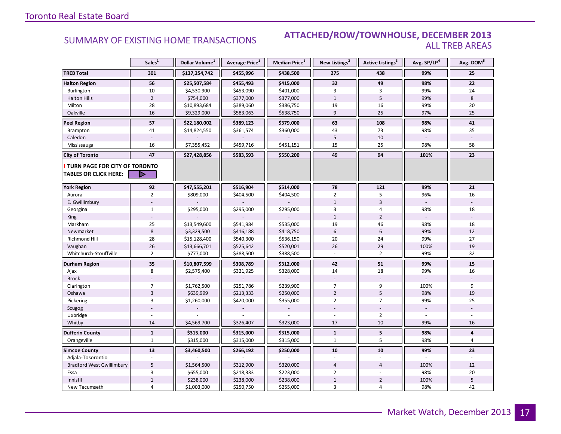### Industrial Leasing SUMMARY OF EXISTING HOME TRANSACTIONS **ATTACHED/ROW/TOWNHOUSE, DECEMBER 2013** ALL TREB AREAS

|                                  | Sales <sup>1</sup> | Dollar Volume <sup>1</sup> | Average Price <sup>1</sup> | <b>Median Price</b> <sup>1</sup> | New Listings <sup>2</sup> | Active Listings <sup>3</sup> | Avg. SP/LP4 | Avg. DOM <sup>5</sup> |
|----------------------------------|--------------------|----------------------------|----------------------------|----------------------------------|---------------------------|------------------------------|-------------|-----------------------|
| <b>TREB Total</b>                | 301                | \$137,254,742              | \$455,996                  | \$438,500                        | 275                       | 438                          | 99%         | 25                    |
| <b>Halton Region</b>             | 56                 | \$25,507,584               | \$455,493                  | \$415,000                        | 32                        | 49                           | 98%         | 22                    |
| Burlington                       | 10                 | \$4,530,900                | \$453,090                  | \$401,000                        | 3                         | 3                            | 99%         | 24                    |
| <b>Halton Hills</b>              | $\mathbf 2$        | \$754,000                  | \$377,000                  | \$377,000                        | $\mathbf{1}$              | 5                            | 99%         | 8                     |
| Milton                           | 28                 | \$10,893,684               | \$389,060                  | \$386,750                        | 19                        | 16                           | 99%         | 20                    |
| Oakville                         | 16                 | \$9,329,000                | \$583,063                  | \$538,750                        | 9                         | 25                           | 97%         | 25                    |
| <b>Peel Region</b>               | 57                 | \$22,180,002               | \$389,123                  | \$379,000                        | 63                        | 108                          | 98%         | 41                    |
| Brampton                         | 41                 | \$14,824,550               | \$361,574                  | \$360,000                        | 43                        | 73                           | 98%         | 35                    |
| Caledon                          |                    |                            |                            |                                  | 5                         | 10                           |             |                       |
| Mississauga                      | 16                 | \$7,355,452                | \$459,716                  | \$451,151                        | 15                        | 25                           | 98%         | 58                    |
| <b>City of Toronto</b>           | 47                 | \$27,428,856               | \$583,593                  | \$550,200                        | 49                        | 94                           | 101%        | 23                    |
| TURN PAGE FOR CITY OF TORONTO    |                    |                            |                            |                                  |                           |                              |             |                       |
| TABLES OR CLICK HERE:            | Þ                  |                            |                            |                                  |                           |                              |             |                       |
| <b>York Region</b>               | 92                 | \$47,555,201               | \$516,904                  | \$514,000                        | 78                        | 121                          | 99%         | 21                    |
| Aurora                           | $\overline{2}$     | \$809,000                  | \$404,500                  | \$404,500                        | $\overline{2}$            | 5                            | 96%         | 16                    |
| E. Gwillimbury                   |                    |                            |                            |                                  | $\mathbf{1}$              | $\overline{3}$               |             |                       |
| Georgina                         | $\mathbf{1}$       | \$295,000                  | \$295,000                  | \$295,000                        | 3                         | 4                            | 98%         | 18                    |
| King                             |                    |                            |                            |                                  | $\mathbf{1}$              | $\overline{2}$               |             |                       |
| Markham                          | 25                 | \$13,549,600               | \$541,984                  | \$535,000                        | 19                        | 46                           | 98%         | 18                    |
| Newmarket                        | $8\phantom{1}$     | \$3,329,500                | \$416,188                  | \$418,750                        | $6\,$                     | $6\,$                        | 99%         | 12                    |
| <b>Richmond Hill</b>             | 28                 | \$15,128,400               | \$540,300                  | \$536,150                        | 20                        | 24                           | 99%         | 27                    |
| Vaughan                          | 26                 | \$13,666,701               | \$525,642                  | \$520,001                        | 26                        | 29                           | 100%        | 19                    |
| Whitchurch-Stouffville           | $\overline{2}$     | \$777,000                  | \$388,500                  | \$388,500                        |                           | $\overline{2}$               | 99%         | 32                    |
| Durham Region                    | 35                 | \$10,807,599               | \$308,789                  | \$312,000                        | 42                        | 51                           | 99%         | 15                    |
| Ajax                             | 8                  | \$2,575,400                | \$321,925                  | \$328,000                        | 14                        | 18                           | 99%         | 16                    |
| <b>Brock</b>                     |                    |                            |                            |                                  |                           |                              |             |                       |
| Clarington                       | $\overline{7}$     | \$1,762,500                | \$251,786                  | \$239,900                        | $\overline{7}$            | 9                            | 100%        | 9                     |
| Oshawa                           | $\overline{3}$     | \$639,999                  | \$213,333                  | \$250,000                        | $\overline{2}$            | 5                            | 98%         | 19                    |
| Pickering                        | 3                  | \$1,260,000                | \$420,000                  | \$355,000                        | $\overline{2}$            | $\overline{7}$               | 99%         | 25                    |
| Scugog                           |                    |                            |                            |                                  |                           |                              |             |                       |
| Uxbridge                         |                    |                            |                            |                                  |                           | $\overline{2}$               |             |                       |
| Whitby                           | 14                 | \$4,569,700                | \$326,407                  | \$323,000                        | 17                        | 10                           | 99%         | 16                    |
| <b>Dufferin County</b>           | $\mathbf{1}$       | \$315,000                  | \$315,000                  | \$315,000                        | $\mathbf{1}$              | $\overline{\mathbf{5}}$      | 98%         | 4                     |
| Orangeville                      | $\mathbf{1}$       | \$315,000                  | \$315,000                  | \$315,000                        | $\mathbf{1}$              | 5                            | 98%         | 4                     |
| <b>Simcoe County</b>             | 13                 | \$3,460,500                | \$266,192                  | \$250,000                        | 10                        | 10                           | 99%         | 23                    |
| Adjala-Tosorontio                |                    |                            |                            |                                  |                           |                              |             |                       |
| <b>Bradford West Gwillimbury</b> | 5                  | \$1,564,500                | \$312,900                  | \$320,000                        | $\overline{4}$            | $\overline{4}$               | 100%        | 12                    |
| Essa                             | 3                  | \$655,000                  | \$218,333                  | \$223,000                        | $\overline{2}$            |                              | 98%         | 20                    |
| Innisfil                         | $\mathbf 1$        | \$238,000                  | \$238,000                  | \$238,000                        | $1\,$                     | $\overline{2}$               | 100%        | 5                     |
| New Tecumseth                    | 4                  | \$1,003,000                | \$250,750                  | \$255,000                        | 3                         | $\overline{4}$               | 98%         | 42                    |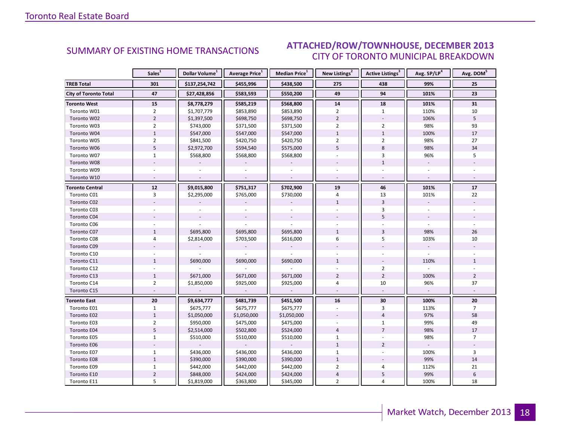#### ECEMBER 2012 CITY OF TORONTO MUNICIPAL BREAKDOWN SUMMARY OF EXISTING HOME TRANSACTIONS **ATTACHED/ROW/TOWNHOUSE, DECEMBER 2013**

<span id="page-17-0"></span>

|                              | Sales <sup>1</sup> | Dollar Volume <sup>1</sup> | Average Price <sup>1</sup> | Median Price <sup>1</sup> | New Listings <sup>2</sup> | Active Listings <sup>3</sup> | Avg. SP/LP <sup>4</sup> | Avg. DOM <sup>5</sup> |
|------------------------------|--------------------|----------------------------|----------------------------|---------------------------|---------------------------|------------------------------|-------------------------|-----------------------|
| <b>TREB Total</b>            | 301                | \$137,254,742              | \$455,996                  | \$438,500                 | 275                       | 438                          | 99%                     | 25                    |
| <b>City of Toronto Total</b> | 47                 | \$27,428,856               | \$583,593                  | \$550,200                 | 49                        | 94                           | 101%                    | 23                    |
| <b>Toronto West</b>          | 15                 | \$8,778,279                | \$585,219                  | \$568,800                 | 14                        | 18                           | 101%                    | 31                    |
| Toronto W01                  | $\overline{2}$     | \$1,707,779                | \$853,890                  | \$853,890                 | $\overline{2}$            | $\mathbf{1}$                 | 110%                    | 10                    |
| Toronto W02                  | $\overline{2}$     | \$1,397,500                | \$698,750                  | \$698,750                 | $\overline{2}$            |                              | 106%                    | 5                     |
| Toronto W03                  | $\overline{2}$     | \$743,000                  | \$371,500                  | \$371,500                 | $\overline{2}$            | $\overline{2}$               | 98%                     | 93                    |
| Toronto W04                  | $\mathbf{1}$       | \$547,000                  | \$547,000                  | \$547,000                 | $\mathbf{1}$              | $\mathbf{1}$                 | 100%                    | 17                    |
| Toronto W05                  | $\overline{2}$     | \$841,500                  | \$420,750                  | \$420,750                 | $\overline{2}$            | $\overline{2}$               | 98%                     | 27                    |
| Toronto W06                  | 5                  | \$2,972,700                | \$594,540                  | \$575,000                 | 5                         | 8                            | 98%                     | 34                    |
| Toronto W07                  | $\mathbf{1}$       | \$568,800                  | \$568,800                  | \$568,800                 | $\bar{a}$                 | 3                            | 96%                     | 5                     |
| Toronto W08                  |                    |                            |                            |                           |                           | $\mathbf{1}$                 |                         |                       |
| Toronto W09                  |                    |                            |                            |                           |                           |                              |                         |                       |
| Toronto W10                  | $\overline{a}$     |                            |                            |                           |                           |                              |                         |                       |
| <b>Toronto Central</b>       | $12$               | \$9,015,800                | \$751,317                  | \$702,900                 | 19                        | 46                           | 101%                    | 17                    |
| Toronto C01                  | 3                  | \$2,295,000                | \$765,000                  | \$730,000                 | $\overline{4}$            | 13                           | 101%                    | 22                    |
| Toronto C02                  |                    |                            |                            |                           | $\mathbf{1}$              | $\overline{3}$               |                         |                       |
| Toronto C03                  |                    |                            |                            |                           |                           | 3                            |                         |                       |
| Toronto C04                  |                    |                            |                            |                           |                           | 5                            |                         |                       |
| Toronto C06                  |                    |                            |                            |                           |                           |                              |                         |                       |
| Toronto C07                  | $\mathbf{1}$       | \$695,800                  | \$695,800                  | \$695,800                 | $\mathbf{1}$              | $\overline{3}$               | 98%                     | 26                    |
| Toronto C08                  | 4                  | \$2,814,000                | \$703,500                  | \$616,000                 | 6                         | 5                            | 103%                    | 10                    |
| Toronto C09                  |                    |                            |                            |                           |                           |                              |                         |                       |
| Toronto C10                  |                    |                            |                            |                           |                           |                              |                         |                       |
| Toronto C11                  | $\mathbf{1}$       | \$690,000                  | \$690,000                  | \$690,000                 | $\mathbf{1}$              |                              | 110%                    | $\mathbf{1}$          |
| Toronto C12                  |                    |                            |                            |                           |                           | $\overline{2}$               |                         |                       |
| Toronto C13                  | $\mathbf{1}$       | \$671,000                  | \$671,000                  | \$671,000                 | $\overline{2}$            | $\overline{2}$               | 100%                    | $\overline{2}$        |
| Toronto C14                  | $\overline{2}$     | \$1,850,000                | \$925,000                  | \$925,000                 | 4                         | 10                           | 96%                     | 37                    |
| Toronto C15                  |                    |                            |                            |                           |                           | $\omega$                     | $\sim$                  |                       |
| <b>Toronto East</b>          | 20                 | \$9,634,777                | \$481,739                  | \$451,500                 | 16                        | 30                           | 100%                    | 20                    |
| Toronto E01                  | $\mathbf{1}$       | \$675,777                  | \$675,777                  | \$675,777                 | ä,                        | 3                            | 113%                    | $\overline{7}$        |
| Toronto E02                  | $1\,$              | \$1,050,000                | \$1,050,000                | \$1,050,000               |                           | $\overline{4}$               | 97%                     | 58                    |
| Toronto E03                  | $\overline{2}$     | \$950,000                  | \$475,000                  | \$475,000                 |                           | $\mathbf{1}$                 | 99%                     | 49                    |
| Toronto E04                  | 5                  | \$2,514,000                | \$502,800                  | \$524,000                 | $\overline{4}$            | $\overline{7}$               | 98%                     | 17                    |
| Toronto E05                  | $\mathbf{1}$       | \$510,000                  | \$510,000                  | \$510,000                 | $\mathbf{1}$              | $\overline{\phantom{a}}$     | 98%                     | $\overline{7}$        |
| Toronto E06                  |                    |                            |                            |                           | $\mathbf{1}$              | $\overline{2}$               |                         |                       |
| Toronto E07                  | $\mathbf{1}$       | \$436,000                  | \$436,000                  | \$436,000                 | $\mathbf{1}$              |                              | 100%                    | 3                     |
| Toronto E08                  | $\mathbf{1}$       | \$390,000                  | \$390,000                  | \$390,000                 | $\mathbf{1}$              |                              | 99%                     | 14                    |
| Toronto E09                  | $\mathbf{1}$       | \$442,000                  | \$442,000                  | \$442,000                 | $\overline{2}$            | 4                            | 112%                    | 21                    |
| Toronto E10                  | $\overline{2}$     | \$848,000                  | \$424,000                  | \$424,000                 | $\sqrt{4}$                | 5                            | 99%                     | $\,6\,$               |
| Toronto E11                  | 5                  | \$1,819,000                | \$363,800                  | \$345,000                 | $\overline{2}$            | 4                            | 100%                    | 18                    |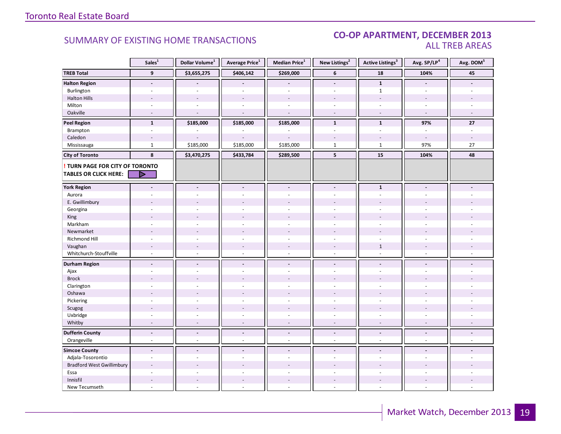#### SUMMARY OF EXISTING HOME TRANSACTIONS **CO-OP APARTMENT, DECEMBER 2013** ALL TREB AREAS

|                                  | Sales <sup>1</sup>       | Dollar Volume <sup>1</sup> | Average Price <sup>1</sup> | Median Price <sup>1</sup> | New Listings <sup>2</sup> | <b>Active Listings<sup>3</sup></b> | Avg. SP/LP <sup>4</sup>  | Avg. DOM <sup>5</sup>    |
|----------------------------------|--------------------------|----------------------------|----------------------------|---------------------------|---------------------------|------------------------------------|--------------------------|--------------------------|
| <b>TREB Total</b>                | $\mathbf{9}$             | \$3,655,275                | \$406,142                  | \$269,000                 | $6\phantom{1}$            | 18                                 | 104%                     | 45                       |
| <b>Halton Region</b>             | $\blacksquare$           |                            |                            |                           | $\overline{a}$            | $\mathbf{1}$                       |                          |                          |
| Burlington                       |                          |                            |                            |                           | ÷                         | $\mathbf{1}$                       |                          |                          |
| <b>Halton Hills</b>              |                          | $\overline{a}$             | $\overline{a}$             |                           | $\overline{a}$            | $\overline{a}$                     | $\overline{a}$           |                          |
| Milton                           | $\sim$                   | $\sim$                     | $\overline{\phantom{a}}$   | $\sim$                    | $\overline{\phantom{a}}$  | ä,                                 | ä,                       | $\overline{\phantom{a}}$ |
| Oakville                         | $\sim$                   | $\sim$                     | $\overline{a}$             | $\overline{a}$            | $\sim$                    | $\sim$                             | $\sim$                   | $\sim$                   |
| <b>Peel Region</b>               | $\mathbf{1}$             | \$185,000                  | \$185,000                  | \$185,000                 | $\mathbf{1}$              | $\mathbf{1}$                       | 97%                      | 27                       |
| Brampton                         | $\sim$                   |                            |                            |                           | $\overline{a}$            | $\overline{a}$                     | ä,                       | $\overline{a}$           |
| Caledon                          |                          |                            |                            |                           |                           |                                    |                          |                          |
| Mississauga                      | $\mathbf{1}$             | \$185,000                  | \$185,000                  | \$185,000                 | $\mathbf{1}$              | $\mathbf{1}$                       | 97%                      | 27                       |
| <b>City of Toronto</b>           | 8                        | \$3,470,275                | \$433,784                  | \$289,500                 | 5                         | 15                                 | 104%                     | 48                       |
| TURN PAGE FOR CITY OF TORONTO    |                          |                            |                            |                           |                           |                                    |                          |                          |
| <b>TABLES OR CLICK HERE:</b>     |                          |                            |                            |                           |                           |                                    |                          |                          |
| <b>York Region</b>               | $\overline{\phantom{a}}$ | $\overline{a}$             | $\blacksquare$             | $\blacksquare$            | $\overline{a}$            | $\mathbf{1}$                       | $\overline{a}$           |                          |
| Aurora                           |                          |                            |                            |                           |                           |                                    |                          |                          |
| E. Gwillimbury                   |                          |                            |                            |                           |                           |                                    |                          |                          |
| Georgina                         |                          |                            |                            |                           |                           |                                    |                          |                          |
| King                             |                          |                            |                            |                           |                           |                                    |                          |                          |
| Markham                          | $\sim$                   | $\overline{a}$             | ÷,                         | $\overline{a}$            | $\overline{\phantom{a}}$  | $\overline{a}$                     |                          |                          |
| Newmarket                        |                          |                            |                            |                           |                           |                                    |                          |                          |
| Richmond Hill                    |                          |                            |                            |                           |                           |                                    |                          |                          |
| Vaughan                          |                          |                            | $\overline{a}$             |                           | $\overline{a}$            | $\mathbf{1}$                       |                          |                          |
| Whitchurch-Stouffville           | $\sim$                   | $\sim$                     | $\overline{a}$             | $\overline{a}$            | $\sim$                    | $\sim$                             | $\sim$                   |                          |
| <b>Durham Region</b>             | $\overline{\phantom{a}}$ | $\overline{\phantom{a}}$   | $\blacksquare$             | $\overline{\phantom{a}}$  | $\centerdot$              | $\blacksquare$                     |                          |                          |
| Ajax                             | $\sim$                   | $\overline{a}$             | $\overline{a}$             | $\overline{a}$            | ÷.                        |                                    |                          |                          |
| <b>Brock</b>                     |                          |                            |                            |                           |                           |                                    |                          |                          |
| Clarington                       | $\overline{a}$           | $\overline{a}$             | $\overline{a}$             |                           | ٠                         |                                    |                          |                          |
| Oshawa                           |                          |                            |                            |                           |                           |                                    |                          |                          |
| Pickering                        |                          |                            | ä,                         |                           | ÷                         |                                    |                          |                          |
| Scugog                           |                          |                            | ÷,                         |                           | ÷,                        |                                    |                          |                          |
| Uxbridge                         | $\sim$                   | ÷,                         | ÷,                         | $\bar{a}$                 | ä,                        | $\overline{\phantom{a}}$           | $\frac{1}{2}$            |                          |
| Whitby                           | $\overline{\phantom{a}}$ | $\sim$                     | $\overline{a}$             | $\sim$                    | $\overline{\phantom{a}}$  | $\blacksquare$                     | $\overline{\phantom{a}}$ | $\sim$                   |
| <b>Dufferin County</b>           | $\blacksquare$           | $\overline{\phantom{a}}$   | $\blacksquare$             | $\overline{\phantom{a}}$  | $\blacksquare$            | $\overline{\phantom{a}}$           | $\overline{\phantom{a}}$ | $\blacksquare$           |
| Orangeville                      | $\sim$                   | $\overline{\phantom{a}}$   | $\bar{a}$                  | $\omega$                  | $\blacksquare$            | $\omega$                           | $\overline{\phantom{a}}$ | $\bar{\phantom{a}}$      |
| <b>Simcoe County</b>             | $\mathbf{r}$             | $\blacksquare$             | $\overline{a}$             | $\blacksquare$            | $\blacksquare$            |                                    | $\blacksquare$           |                          |
| Adjala-Tosorontio                | $\sim$                   | ÷.                         | ÷.                         | ÷.                        | ÷                         | $\overline{a}$                     | ÷.                       |                          |
| <b>Bradford West Gwillimbury</b> | $\overline{a}$           |                            |                            |                           |                           |                                    |                          |                          |
| Essa                             |                          |                            |                            |                           |                           |                                    |                          |                          |
| Innisfil                         | $\sim$                   | $\overline{a}$             | $\overline{a}$             | $\sim$                    | $\overline{\phantom{a}}$  | $\overline{a}$                     | $\overline{a}$           |                          |
| New Tecumseth                    | $\sim$                   |                            | ä,                         | $\overline{\phantom{a}}$  | $\overline{\phantom{a}}$  | ä,                                 |                          |                          |

**Page 3 July 2010**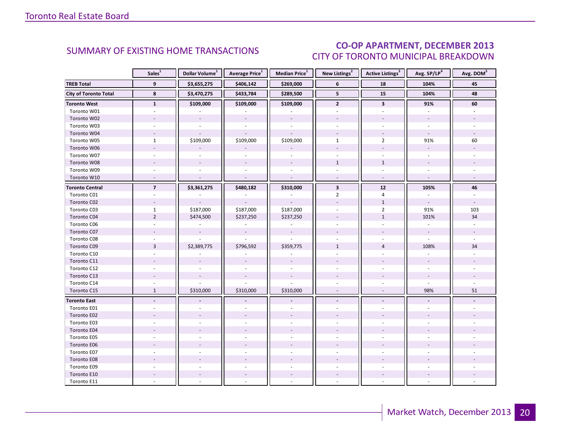### CO-OP APARTMENT, DECEMBER 2013 CITY OF TORONTO MUNICIPAL BREAKDOWN

<span id="page-19-0"></span>

|                              | Sales <sup>1</sup>       | Dollar Volume <sup>1</sup> | Average Price <sup>1</sup> | Median Price <sup>1</sup> | New Listings <sup>2</sup> | Active Listings <sup>3</sup> | Avg. SP/LP <sup>4</sup>  | Avg. DOM <sup>5</sup> |
|------------------------------|--------------------------|----------------------------|----------------------------|---------------------------|---------------------------|------------------------------|--------------------------|-----------------------|
| <b>TREB Total</b>            | 9                        | \$3,655,275                | \$406,142                  | \$269,000                 | 6                         | 18                           | 104%                     | 45                    |
| <b>City of Toronto Total</b> | 8                        | \$3,470,275                | \$433,784                  | \$289,500                 | 5                         | 15                           | 104%                     | 48                    |
| <b>Toronto West</b>          | $\mathbf{1}$             | \$109,000                  | \$109,000                  | \$109,000                 | $\mathbf{2}$              | 3                            | 91%                      | 60                    |
| Toronto W01                  |                          |                            |                            |                           |                           |                              |                          |                       |
| Toronto W02                  |                          | $\mathcal{L}$              | $\overline{\phantom{a}}$   | $\overline{\phantom{a}}$  |                           |                              |                          |                       |
| Toronto W03                  | ÷.                       | $\sim$                     | $\bar{a}$                  | $\sim$                    |                           | $\sim$                       |                          |                       |
| Toronto W04                  |                          |                            |                            |                           |                           |                              | $\sim$                   |                       |
| Toronto W05                  | $\mathbf{1}$             | \$109,000                  | \$109,000                  | \$109,000                 | $\mathbf{1}$              | $\overline{2}$               | 91%                      | 60                    |
| Toronto W06                  | ÷,                       |                            |                            |                           |                           | $\overline{a}$               | $\sim$                   |                       |
| Toronto W07                  | ÷                        |                            |                            |                           | $\sim$                    | $\sim$                       | $\sim$                   |                       |
| Toronto W08                  |                          |                            |                            |                           | $\mathbf{1}$              | $\mathbf{1}$                 |                          |                       |
| Toronto W09                  |                          |                            |                            |                           |                           |                              |                          |                       |
| Toronto W10                  | $\overline{\phantom{a}}$ |                            |                            | $\sim$                    | $\sim$                    | $\sim$                       | $\overline{\phantom{a}}$ |                       |
| <b>Toronto Central</b>       | $\overline{7}$           | \$3,361,275                | \$480,182                  | \$310,000                 | $\overline{\mathbf{3}}$   | 12                           | 105%                     | 46                    |
| Toronto C01                  |                          |                            |                            |                           | $\overline{2}$            | $\overline{4}$               |                          |                       |
| Toronto C02                  | ۰                        |                            |                            |                           |                           | $\mathbf{1}$                 | $\sim$                   |                       |
| Toronto C03                  | $\mathbf{1}$             | \$187,000                  | \$187,000                  | \$187,000                 |                           | $\overline{2}$               | 91%                      | 103                   |
| Toronto C04                  | $\overline{2}$           | \$474,500                  | \$237,250                  | \$237,250                 |                           | $\mathbf{1}$                 | 101%                     | 34                    |
| Toronto C06                  |                          |                            |                            |                           |                           |                              |                          |                       |
| Toronto C07                  |                          | $\sim$                     | $\sim$                     | $\overline{\phantom{a}}$  |                           |                              | $\omega$                 |                       |
| Toronto C08                  |                          |                            |                            |                           |                           |                              |                          |                       |
| Toronto C09                  | $\overline{3}$           | \$2,389,775                | \$796,592                  | \$359,775                 | $\mathbf{1}$              | $\overline{4}$               | 108%                     | 34                    |
| Toronto C10                  |                          |                            |                            |                           |                           |                              |                          |                       |
| Toronto C11                  |                          |                            |                            |                           |                           |                              |                          |                       |
| Toronto C12                  |                          |                            |                            |                           |                           |                              |                          |                       |
| Toronto C13                  |                          |                            |                            |                           |                           |                              |                          |                       |
| Toronto C14                  |                          |                            |                            |                           |                           |                              | $\overline{a}$           |                       |
| Toronto C15                  | $\mathbf{1}$             | \$310,000                  | \$310,000                  | \$310,000                 |                           | $\overline{\phantom{a}}$     | 98%                      | 51                    |
| <b>Toronto East</b>          | $\blacksquare$           |                            |                            |                           | $\blacksquare$            | $\overline{a}$               |                          |                       |
| Toronto E01                  |                          |                            |                            |                           |                           |                              |                          |                       |
| Toronto E02                  |                          |                            |                            |                           |                           |                              |                          |                       |
| Toronto E03                  |                          |                            |                            |                           |                           |                              |                          |                       |
| Toronto E04                  |                          |                            |                            |                           |                           |                              |                          |                       |
| Toronto E05                  | ÷.                       |                            |                            |                           |                           | $\sim$                       |                          |                       |
| Toronto E06                  |                          |                            |                            |                           |                           |                              |                          |                       |
| Toronto E07                  |                          |                            |                            |                           |                           |                              |                          |                       |
| Toronto E08                  |                          |                            |                            |                           |                           |                              |                          |                       |
| Toronto E09                  |                          |                            |                            |                           |                           |                              |                          |                       |
| Toronto E10                  |                          |                            |                            |                           |                           |                              |                          |                       |
| Toronto E11                  |                          |                            |                            |                           |                           |                              |                          |                       |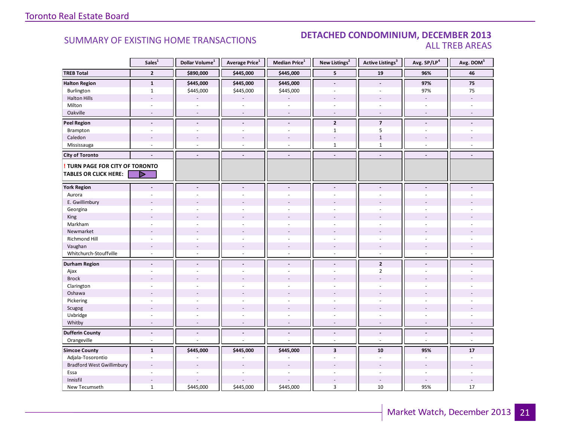### SUMMARY OF EXISTING HOME TRANSACTIONS **DETACHED CONDOMINIUM, DECEMBER 2013** ALL TREB AREAS

|                                  | Sales <sup>1</sup> | Dollar Volume <sup>1</sup> | Average Price <sup>1</sup> | Median Price <sup>1</sup> | New Listings <sup>2</sup> | <b>Active Listings<sup>3</sup></b> | Avg. SP/LP <sup>4</sup>  | Avg. DOM <sup>5</sup> |
|----------------------------------|--------------------|----------------------------|----------------------------|---------------------------|---------------------------|------------------------------------|--------------------------|-----------------------|
| <b>TREB Total</b>                | $\overline{2}$     | \$890,000                  | \$445,000                  | \$445,000                 | 5                         | 19                                 | 96%                      | 46                    |
| <b>Halton Region</b>             | $\mathbf 1$        | \$445,000                  | \$445,000                  | \$445,000                 | $\overline{a}$            | $\overline{a}$                     | 97%                      | $\bf 75$              |
| Burlington                       | $\mathbf{1}$       | \$445,000                  | \$445,000                  | \$445,000                 | ÷                         | ÷.                                 | 97%                      | 75                    |
| <b>Halton Hills</b>              | ÷,                 |                            |                            |                           |                           | $\overline{\phantom{a}}$           | $\omega$                 |                       |
| Milton                           | ä,                 |                            | ä,                         | ÷,                        | ä,                        | ÷,                                 |                          |                       |
| Oakville                         | $\sim$             | $\sim$                     | $\overline{\phantom{a}}$   | $\sim$                    | $\sim$                    | $\sim$                             | $\sim$                   | $\overline{a}$        |
| <b>Peel Region</b>               | $\blacksquare$     | $\blacksquare$             | $\overline{\phantom{a}}$   | $\blacksquare$            | $\overline{2}$            | $\overline{7}$                     | $\blacksquare$           |                       |
| Brampton                         | $\sim$             | ÷.                         | ÷,                         | $\overline{\phantom{a}}$  | $\mathbf{1}$              | 5                                  | ÷.                       |                       |
| Caledon                          | $\overline{a}$     |                            | $\blacksquare$             | $\overline{a}$            | $\overline{a}$            | $1\,$                              |                          |                       |
| Mississauga                      | L.                 |                            | ä,                         | $\overline{\phantom{a}}$  | $\mathbf{1}$              | $\mathbf 1$                        |                          |                       |
| <b>City of Toronto</b>           | $\overline{a}$     | $\blacksquare$             | $\overline{a}$             | $\overline{\phantom{a}}$  | $\overline{\phantom{a}}$  | $\overline{\phantom{a}}$           | $\blacksquare$           |                       |
| TURN PAGE FOR CITY OF TORONTO    |                    |                            |                            |                           |                           |                                    |                          |                       |
| <b>TABLES OR CLICK HERE:</b>     | D                  |                            |                            |                           |                           |                                    |                          |                       |
| <b>York Region</b>               | $\overline{a}$     |                            | $\blacksquare$             | $\blacksquare$            | $\overline{a}$            | $\overline{a}$                     |                          |                       |
| Aurora                           |                    |                            |                            | $\ddot{\phantom{1}}$      |                           |                                    |                          |                       |
| E. Gwillimbury                   |                    |                            |                            |                           |                           |                                    |                          |                       |
| Georgina                         |                    |                            |                            | $\ddot{\phantom{1}}$      |                           |                                    |                          |                       |
| King                             |                    |                            |                            |                           |                           |                                    |                          |                       |
| Markham                          | ä,                 |                            | ä,                         | $\bar{a}$                 | ä,                        | $\overline{\phantom{a}}$           |                          |                       |
| Newmarket                        |                    |                            |                            |                           |                           |                                    |                          |                       |
| Richmond Hill                    |                    |                            |                            |                           |                           |                                    |                          |                       |
| Vaughan                          |                    |                            | $\overline{a}$             |                           |                           |                                    |                          |                       |
| Whitchurch-Stouffville           | $\sim$             | ÷.                         | $\overline{a}$             | $\sim$                    | $\sim$                    | $\sim$                             | $\sim$                   |                       |
| <b>Durham Region</b>             | $\blacksquare$     | $\blacksquare$             | $\blacksquare$             | $\blacksquare$            | $\blacksquare$            | $\overline{2}$                     | $\overline{\phantom{a}}$ |                       |
| Ajax                             |                    |                            | ÷                          | $\sim$                    | ÷.                        | $\overline{2}$                     | $\sim$                   |                       |
| <b>Brock</b>                     |                    |                            |                            |                           |                           |                                    |                          |                       |
| Clarington                       |                    |                            |                            | ÷.                        |                           |                                    |                          |                       |
| Oshawa                           |                    |                            |                            |                           |                           |                                    |                          |                       |
| Pickering                        | ÷,                 |                            |                            | ÷.                        | $\overline{\phantom{a}}$  | $\overline{\phantom{a}}$           |                          |                       |
| Scugog                           |                    |                            |                            |                           |                           |                                    |                          |                       |
| Uxbridge                         | ÷,                 |                            | $\overline{\phantom{a}}$   | $\overline{\phantom{a}}$  | ÷.                        | $\sim$                             | $\sim$                   |                       |
| Whitby                           | $\overline{a}$     |                            | ÷,                         | $\overline{\phantom{a}}$  | $\overline{a}$            | $\overline{a}$                     |                          |                       |
| <b>Dufferin County</b>           | $\overline{a}$     | $\overline{\phantom{a}}$   | $\overline{a}$             | $\blacksquare$            | $\blacksquare$            | $\blacksquare$                     | $\blacksquare$           | $\blacksquare$        |
| Orangeville                      | $\omega$           | ÷.                         | ä,                         | $\sim$                    | ÷.                        | $\omega$                           | $\omega$                 | $\omega$              |
| <b>Simcoe County</b>             | $\mathbf{1}$       | \$445,000                  | \$445,000                  | \$445,000                 | $\overline{\mathbf{3}}$   | ${\bf 10}$                         | 95%                      | $17$                  |
| Adjala-Tosorontio                | $\sim$             |                            |                            |                           | ÷                         | $\sim$                             |                          |                       |
| <b>Bradford West Gwillimbury</b> |                    |                            |                            |                           |                           |                                    |                          |                       |
| Essa                             | ÷                  |                            | $\overline{a}$             | $\overline{a}$            |                           | ÷.                                 |                          |                       |
| Innisfil                         | $\sim$             |                            |                            |                           |                           | $\sim$                             |                          |                       |
| New Tecumseth                    | $\mathbf{1}$       | \$445,000                  | \$445,000                  | \$445,000                 | 3                         | 10                                 | 95%                      | 17                    |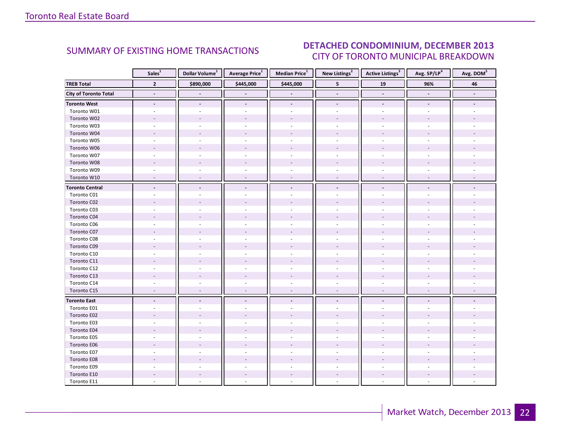#### ECEMBER 2012 CITY OF TORONTO MUNICIPAL BREAKDOWN SUMMARY OF EXISTING HOME TRANSACTIONS **DETACHED CONDOMINIUM, DECEMBER 2013**

<span id="page-21-0"></span>

|                        | Sales <sup>1</sup> | Dollar Volume <sup>1</sup> | <b>Average Price</b> <sup>1</sup> | Median Price <sup>1</sup> | New Listings <sup>2</sup> | <b>Active Listings</b> <sup>3</sup> | Avg. SP/LP4    | Avg. DOM <sup>5</sup> |
|------------------------|--------------------|----------------------------|-----------------------------------|---------------------------|---------------------------|-------------------------------------|----------------|-----------------------|
| <b>TREB Total</b>      | $\overline{2}$     | \$890,000                  | \$445,000                         | \$445,000                 | 5                         | 19                                  | 96%            | 46                    |
| City of Toronto Total  | $\blacksquare$     |                            |                                   |                           | $\blacksquare$            | $\overline{\phantom{a}}$            |                |                       |
| <b>Toronto West</b>    | $\blacksquare$     | $\blacksquare$             | $\overline{\phantom{a}}$          | $\blacksquare$            | $\blacksquare$            | $\overline{\phantom{a}}$            | $\blacksquare$ |                       |
| Toronto W01            |                    |                            |                                   | $\sim$                    | $\sim$                    | $\overline{\phantom{a}}$            |                |                       |
| Toronto W02            |                    |                            |                                   | $\overline{a}$            |                           |                                     |                |                       |
| Toronto W03            | ÷                  | $\sim$                     | $\bar{a}$                         | $\sim$                    | $\sim$                    | $\overline{\phantom{a}}$            |                |                       |
| Toronto W04            |                    |                            |                                   |                           |                           |                                     |                |                       |
| Toronto W05            |                    |                            |                                   |                           |                           |                                     |                |                       |
| Toronto W06            |                    |                            | $\overline{a}$                    | $\overline{a}$            |                           |                                     |                |                       |
| Toronto W07            |                    |                            |                                   | ä,                        |                           |                                     |                |                       |
| Toronto W08            |                    |                            |                                   |                           |                           |                                     |                |                       |
| Toronto W09            |                    |                            |                                   | $\overline{\phantom{a}}$  | $\overline{\phantom{a}}$  |                                     |                |                       |
| Toronto W10            | $\overline{a}$     | $\overline{a}$             | $\overline{a}$                    | $\overline{a}$            | $\sim$                    | $\mathcal{L}$                       |                |                       |
| <b>Toronto Central</b> |                    |                            |                                   | $\blacksquare$            | $\blacksquare$            |                                     |                |                       |
| Toronto C01            |                    |                            |                                   |                           |                           |                                     |                |                       |
| Toronto C02            |                    |                            |                                   |                           |                           |                                     |                |                       |
| Toronto C03            |                    |                            |                                   | ÷.                        |                           | $\overline{a}$                      |                |                       |
| Toronto C04            |                    |                            |                                   |                           |                           |                                     |                |                       |
| Toronto C06            |                    |                            |                                   |                           |                           |                                     |                |                       |
| Toronto C07            |                    |                            |                                   |                           |                           |                                     |                |                       |
| Toronto C08            |                    |                            |                                   |                           |                           |                                     |                |                       |
| Toronto C09            |                    |                            |                                   |                           |                           |                                     |                |                       |
| Toronto C10            |                    |                            |                                   |                           |                           |                                     |                |                       |
| Toronto C11            |                    |                            |                                   |                           |                           |                                     |                |                       |
| Toronto C12            |                    |                            |                                   | ÷,                        |                           |                                     |                |                       |
| Toronto C13            |                    |                            |                                   |                           |                           |                                     |                |                       |
| Toronto C14            |                    |                            |                                   |                           |                           |                                     |                |                       |
| Toronto C15            | $\sim$             | $\sim$                     | $\overline{\phantom{a}}$          | $\overline{\phantom{a}}$  | $\overline{\phantom{a}}$  | $\overline{\phantom{a}}$            |                |                       |
| <b>Toronto East</b>    |                    |                            |                                   | $\frac{1}{2}$             |                           |                                     |                |                       |
| Toronto E01            |                    |                            |                                   |                           |                           |                                     |                |                       |
| Toronto E02            |                    |                            |                                   |                           |                           |                                     |                |                       |
| Toronto E03            |                    |                            |                                   |                           |                           |                                     |                |                       |
| Toronto E04            |                    |                            |                                   |                           |                           |                                     |                |                       |
| Toronto E05            |                    |                            |                                   |                           |                           |                                     |                |                       |
| Toronto E06            |                    |                            |                                   |                           |                           |                                     |                |                       |
| Toronto E07            |                    |                            |                                   |                           |                           |                                     |                |                       |
| Toronto E08            |                    |                            |                                   |                           |                           |                                     |                |                       |
| Toronto E09            |                    |                            |                                   |                           |                           |                                     |                |                       |
| Toronto E10            |                    |                            |                                   |                           |                           |                                     |                |                       |
| Toronto E11            |                    |                            |                                   |                           |                           |                                     |                |                       |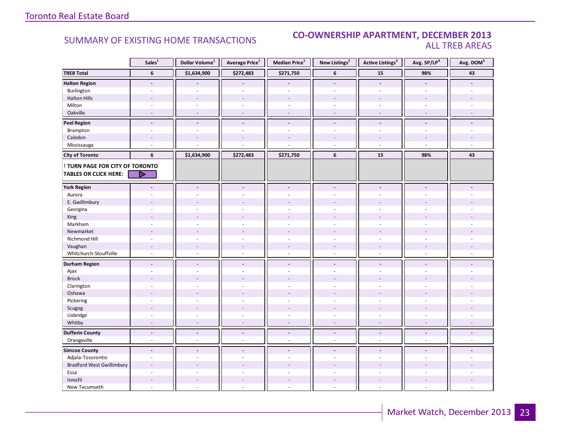### SUMMARY OF EXISTING HOME TRANSACTIONS **CO-OWNERSHIP APARTMENT, DECEMBER 2013** ALL TREB AREAS

|                                  | Sales <sup>1</sup>       | Dollar Volume <sup>1</sup> | Average Price <sup>1</sup> | Median Price <sup>1</sup> | New Listings <sup>2</sup> | <b>Active Listings<sup>3</sup></b> | Avg. SP/LP <sup>4</sup> | Avg. DOM <sup>5</sup>    |
|----------------------------------|--------------------------|----------------------------|----------------------------|---------------------------|---------------------------|------------------------------------|-------------------------|--------------------------|
| <b>TREB Total</b>                | $\bf 6$                  | \$1,634,900                | \$272,483                  | \$271,750                 | 6                         | ${\bf 15}$                         | 98%                     | 43                       |
| <b>Halton Region</b>             | $\overline{\phantom{a}}$ |                            |                            |                           | $\blacksquare$            | $\blacksquare$                     |                         |                          |
| Burlington                       | ÷,                       | $\sim$                     | ä,                         | $\omega$                  | ä,                        | $\sim$                             | $\omega$                |                          |
| <b>Halton Hills</b>              |                          |                            |                            |                           |                           |                                    |                         |                          |
| Milton                           | $\sim$                   | $\overline{\phantom{a}}$   | ä,                         | $\sim$                    | $\overline{\phantom{a}}$  | $\sim$                             |                         |                          |
| Oakville                         | $\sim$                   | $\sim$                     | ÷,                         | $\omega$                  | $\sim$                    | $\sim$                             | $\sim$                  |                          |
| <b>Peel Region</b>               | $\overline{a}$           | $\overline{a}$             | $\overline{a}$             | $\blacksquare$            | $\blacksquare$            | $\overline{a}$                     | $\blacksquare$          | $\overline{\phantom{a}}$ |
| Brampton                         | $\sim$                   | $\sim$                     | ÷.                         | ÷.                        | ÷.                        | $\sim$                             | $\sim$                  | $\sim$                   |
| Caledon                          | $\sim$                   |                            |                            |                           |                           |                                    |                         |                          |
| Mississauga                      | ä,                       |                            |                            |                           | ÷,                        | $\sim$                             | ÷,                      |                          |
| <b>City of Toronto</b>           | 6                        | \$1,634,900                | \$272,483                  | \$271,750                 | 6                         | ${\bf 15}$                         | 98%                     | 43                       |
| TURN PAGE FOR CITY OF TORONTO    |                          |                            |                            |                           |                           |                                    |                         |                          |
| <b>TABLES OR CLICK HERE:</b>     |                          |                            |                            |                           |                           |                                    |                         |                          |
|                                  |                          |                            |                            |                           |                           |                                    |                         |                          |
| <b>York Region</b>               |                          |                            | $\blacksquare$             | $\blacksquare$            | $\blacksquare$            |                                    |                         |                          |
| Aurora                           |                          |                            |                            |                           |                           |                                    |                         |                          |
| E. Gwillimbury                   |                          |                            |                            |                           |                           |                                    |                         |                          |
| Georgina                         |                          |                            |                            | $\overline{a}$            |                           |                                    |                         |                          |
| King                             |                          |                            |                            |                           |                           |                                    |                         |                          |
| Markham                          | $\sim$                   |                            | $\overline{\phantom{a}}$   | $\sim$                    | ÷.                        | ä,                                 |                         |                          |
| Newmarket                        | $\overline{a}$           |                            |                            |                           |                           |                                    |                         |                          |
| Richmond Hill                    |                          |                            |                            |                           |                           |                                    |                         |                          |
| Vaughan                          | $\overline{\phantom{a}}$ | $\sim$                     | $\overline{\phantom{a}}$   | $\overline{\phantom{a}}$  | $\overline{\phantom{a}}$  |                                    |                         |                          |
| Whitchurch-Stouffville           | $\omega$                 | $\sim$                     | ä,                         | $\omega$                  | $\omega$                  | $\omega$                           | $\sim$                  |                          |
| <b>Durham Region</b>             | $\overline{a}$           | $\blacksquare$             | $\blacksquare$             | $\overline{\phantom{a}}$  | $\blacksquare$            | $\overline{a}$                     | $\overline{a}$          |                          |
| Ajax                             | $\sim$                   |                            |                            | $\overline{\phantom{a}}$  | ÷.                        | ä,                                 |                         |                          |
| <b>Brock</b>                     |                          |                            |                            |                           |                           |                                    |                         |                          |
| Clarington                       | ÷.                       |                            |                            |                           |                           |                                    |                         |                          |
| Oshawa                           |                          |                            |                            |                           |                           |                                    |                         |                          |
| Pickering                        | $\overline{a}$           |                            |                            | ÷.                        | $\overline{\phantom{a}}$  | L.                                 |                         |                          |
| Scugog                           |                          |                            |                            |                           |                           |                                    |                         |                          |
| Uxbridge                         | $\sim$                   | ÷.                         | ÷,                         | $\sim$                    | $\overline{\phantom{a}}$  | ä,                                 | ÷.                      |                          |
| Whitby                           | $\overline{\phantom{a}}$ | $\sim$                     | ÷,                         | $\overline{\phantom{a}}$  | $\overline{\phantom{a}}$  | $\blacksquare$                     |                         |                          |
| <b>Dufferin County</b>           | $\overline{a}$           | $\blacksquare$             | $\overline{a}$             | $\blacksquare$            | $\blacksquare$            | $\blacksquare$                     | $\blacksquare$          | $\blacksquare$           |
| Orangeville                      | $\omega$                 | $\sim$                     | ä,                         | $\sim$                    | $\omega$                  | $\omega$                           | $\sim$                  | $\omega$                 |
| <b>Simcoe County</b>             | $\overline{\phantom{a}}$ | $\blacksquare$             | $\blacksquare$             | $\overline{\phantom{a}}$  | $\blacksquare$            | $\overline{a}$                     |                         |                          |
| Adjala-Tosorontio                | $\sim$                   |                            | ÷,                         | $\overline{a}$            | ÷                         | ä,                                 |                         |                          |
| <b>Bradford West Gwillimbury</b> |                          |                            |                            |                           |                           |                                    |                         |                          |
| Essa                             | ÷.                       |                            |                            |                           | ÷                         | ä,                                 |                         |                          |
| Innisfil                         | $\overline{\phantom{a}}$ |                            | $\overline{\phantom{a}}$   | $\overline{a}$            | $\overline{\phantom{a}}$  | $\overline{a}$                     |                         |                          |
| New Tecumseth                    | $\bar{a}$                |                            | L,                         | $\overline{a}$            | $\overline{a}$            | L.                                 |                         |                          |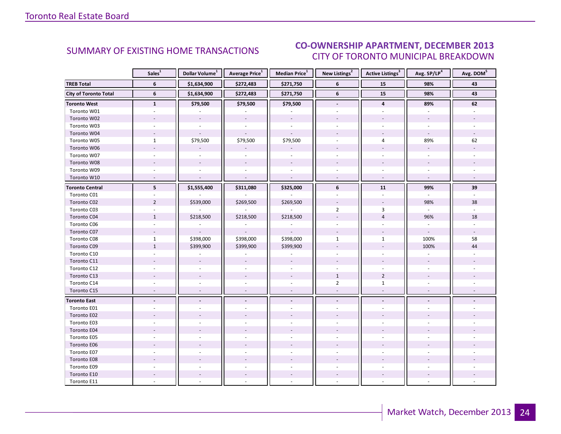#### ECEMBER 2012 CITY OF TORONTO MUNICIPAL BREAKDOWN SUMMARY OF EXISTING HOME TRANSACTIONS **CO-OWNERSHIP APARTMENT, DECEMBER 2013**

<span id="page-23-0"></span>

|                              | Sales <sup>1</sup>       | Dollar Volume <sup>1</sup> | Average Price <sup>1</sup> | Median Price <sup>1</sup> | New Listings <sup>2</sup> | <b>Active Listings</b> <sup>3</sup> | Avg. SP/LP <sup>4</sup>  | Avg. DOM <sup>5</sup> |
|------------------------------|--------------------------|----------------------------|----------------------------|---------------------------|---------------------------|-------------------------------------|--------------------------|-----------------------|
| <b>TREB Total</b>            | 6                        | \$1,634,900                | \$272,483                  | \$271,750                 | 6                         | 15                                  | 98%                      | 43                    |
| <b>City of Toronto Total</b> | 6                        | \$1,634,900                | \$272,483                  | \$271,750                 | 6                         | 15                                  | 98%                      | 43                    |
| <b>Toronto West</b>          | $\mathbf{1}$             | \$79,500                   | \$79,500                   | \$79,500                  | $\overline{\phantom{a}}$  | $\overline{\mathbf{4}}$             | 89%                      | 62                    |
| Toronto W01                  |                          |                            |                            |                           |                           |                                     |                          |                       |
| Toronto W02                  |                          | $\omega$                   | $\mathbf{r}$               | $\mathbb{Z}^2$            |                           |                                     |                          |                       |
| Toronto W03                  | $\sim$                   | $\sim$                     | ÷.                         | $\omega$                  | ÷.                        | ÷                                   | ÷.                       |                       |
| Toronto W04                  |                          |                            |                            | $\mathbf{r}$              |                           |                                     | $\omega$                 |                       |
| Toronto W05                  | $\mathbf{1}$             | \$79,500                   | \$79,500                   | \$79,500                  |                           | 4                                   | 89%                      | 62                    |
| Toronto W06                  |                          |                            |                            | $\overline{a}$            |                           | $\overline{a}$                      | $\omega$                 |                       |
| Toronto W07                  | ÷.                       | $\sim$                     | $\sim$                     | $\sim$                    | $\mathbf{r}$              | ÷                                   | $\omega$                 |                       |
| Toronto W08                  |                          |                            |                            |                           |                           |                                     |                          |                       |
| Toronto W09                  |                          |                            |                            |                           |                           |                                     | $\overline{\phantom{a}}$ |                       |
| Toronto W10                  | $\sim$                   | $\sim$                     | $\sim$                     | $\sim$                    | $\sim$                    | $\omega$                            | $\omega$                 |                       |
| <b>Toronto Central</b>       | 5                        | \$1,555,400                | \$311,080                  | \$325,000                 | 6                         | 11                                  | 99%                      | 39                    |
| Toronto C01                  |                          |                            |                            |                           |                           |                                     |                          |                       |
| Toronto C02                  | $\overline{2}$           | \$539,000                  | \$269,500                  | \$269,500                 |                           |                                     | 98%                      | 38                    |
| Toronto C03                  | $\overline{\phantom{a}}$ |                            |                            |                           | $\overline{2}$            | 3                                   |                          |                       |
| Toronto C04                  | $\mathbf{1}$             | \$218,500                  | \$218,500                  | \$218,500                 |                           | $\overline{4}$                      | 96%                      | 18                    |
| Toronto C06                  |                          |                            |                            |                           |                           |                                     |                          |                       |
| Toronto C07                  |                          |                            |                            |                           |                           |                                     |                          |                       |
| Toronto C08                  | $\mathbf{1}$             | \$398,000                  | \$398,000                  | \$398,000                 | $\mathbf{1}$              | $\mathbf{1}$                        | 100%                     | 58                    |
| Toronto C09                  | $\mathbf{1}$             | \$399,900                  | \$399,900                  | \$399,900                 |                           |                                     | 100%                     | 44                    |
| Toronto C10                  |                          |                            |                            |                           |                           |                                     |                          |                       |
| Toronto C11                  |                          | $\sim$                     |                            | $\overline{\phantom{a}}$  |                           |                                     |                          |                       |
| Toronto C12                  |                          |                            |                            | $\overline{\phantom{a}}$  |                           |                                     |                          |                       |
| Toronto C13                  |                          |                            |                            |                           | $1\,$                     | $\overline{2}$                      |                          |                       |
| Toronto C14                  |                          |                            |                            |                           | $\overline{2}$            | $\mathbf{1}$                        |                          |                       |
| Toronto C15                  | $\overline{\phantom{a}}$ | $\overline{\phantom{a}}$   |                            | ÷,                        |                           | $\overline{\phantom{a}}$            |                          |                       |
| <b>Toronto East</b>          | $\overline{\phantom{a}}$ | $\overline{\phantom{a}}$   | $\overline{\phantom{a}}$   | $\overline{\phantom{a}}$  | $\overline{\phantom{a}}$  | $\frac{1}{2}$                       | $\blacksquare$           |                       |
| Toronto E01                  |                          |                            |                            |                           |                           |                                     |                          |                       |
| Toronto E02                  |                          |                            |                            |                           |                           |                                     |                          |                       |
| Toronto E03                  |                          |                            |                            |                           |                           |                                     |                          |                       |
| Toronto E04                  |                          |                            |                            |                           |                           |                                     |                          |                       |
| Toronto E05                  |                          |                            |                            |                           |                           |                                     |                          |                       |
| Toronto E06                  |                          |                            |                            |                           |                           |                                     |                          |                       |
| Toronto E07                  |                          |                            |                            |                           |                           |                                     |                          |                       |
| Toronto E08                  |                          |                            |                            |                           |                           |                                     |                          |                       |
| Toronto E09                  |                          |                            |                            |                           |                           |                                     |                          |                       |
| Toronto E10                  |                          |                            |                            |                           |                           |                                     |                          |                       |
| Toronto E11                  |                          |                            |                            |                           |                           |                                     |                          |                       |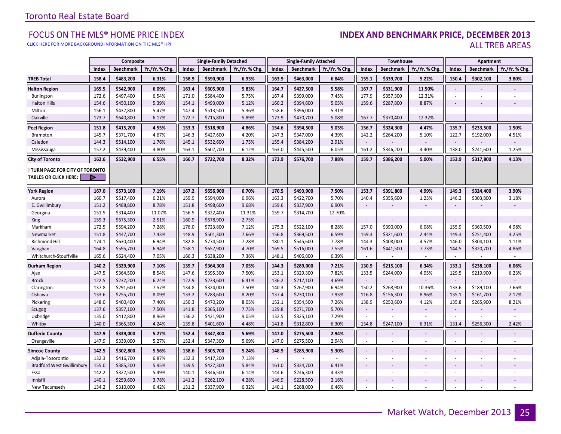#### [CLICK HERE FOR MORE BACKGROUND INFORMATION ON THE MLS® HPI](http://www.torontorealestateboard.com/market_news/home_price_index/index.htm)

#### FOCUS ON THE MLS® HOME PRICE INDEX (INDEX AND BE**NCHMARK PRICE, DECEMBER 2013**<br>Elick here for more background information on the mls® hpi ALL TREB AREAS

|                                                               |       | Composite        |                |       | <b>Single-Family Detached</b> |                |        | <b>Single-Family Attached</b> |                |                          | Townhouse        |                |                          | Apartment                |                |
|---------------------------------------------------------------|-------|------------------|----------------|-------|-------------------------------|----------------|--------|-------------------------------|----------------|--------------------------|------------------|----------------|--------------------------|--------------------------|----------------|
|                                                               | Index | <b>Benchmark</b> | Yr./Yr. % Chg. | Index | <b>Benchmark</b>              | Yr./Yr. % Chg. | Index  | <b>Benchmark</b>              | Yr./Yr. % Chg. | Index                    | <b>Benchmark</b> | Yr./Yr. % Chg. | Index                    | <b>Benchmark</b>         | Yr./Yr. % Chg. |
| <b>TREB Total</b>                                             | 158.4 | \$483,200        | 6.31%          | 158.9 | \$590,900                     | 6.93%          | 163.9  | \$463,000                     | 6.84%          | 155.1                    | \$339,700        | 5.22%          | 150.4                    | \$302,100                | 3.80%          |
| <b>Halton Region</b>                                          | 165.5 | \$542,900        | 6.09%          | 163.4 | \$605,900                     | 5.83%          | 164.7  | \$427,500                     | 5.58%          | 167.7                    | \$331,900        | 11.50%         | $\sim$                   |                          |                |
| Burlington                                                    | 172.6 | \$497,400        | 6.54%          | 171.0 | \$584,400                     | 5.75%          | 167.4  | \$399,000                     | 7.45%          | 177.9                    | \$357,300        | 12.31%         | $\sim$                   | $\sim$                   |                |
| <b>Halton Hills</b>                                           | 154.6 | \$450,100        | 5.39%          | 154.1 | \$493,000                     | 5.12%          | 160.2  | \$394,600                     | 5.05%          | 159.6                    | \$287,800        | 8.87%          | $\sim$                   |                          |                |
| Milton                                                        | 156.1 | \$437,800        | 5.47%          | 147.4 | \$513,500                     | 5.36%          | 158.6  | \$396,000                     | 5.31%          |                          |                  |                |                          |                          |                |
| Oakville                                                      | 173.7 | \$640,800        | 6.17%          | 172.7 | \$715,800                     | 5.89%          | 173.9  | \$470,700                     | 5.08%          | 167.7                    | \$370,400        | 12.32%         | $\sim$                   |                          |                |
| Peel Region                                                   | 151.8 | \$415,200        | 4.55%          | 153.3 | \$518,900                     | 4.86%          | 154.6  | \$394,500                     | 5.03%          | 156.7                    | \$324,300        | 4.47%          | 135.7                    | \$233,500                | 1.50%          |
| Brampton                                                      | 145.7 | \$371,700        | 4.67%          | 146.3 | \$427,600                     | 4.20%          | 147.3  | \$347,000                     | 4.39%          | 142.2                    | \$264,200        | 5.10%          | 122.7                    | \$192,000                | 4.51%          |
| Caledon                                                       | 144.3 | \$514,100        | 1.76%          | 145.1 | \$532,600                     | 1.75%          | 155.4  | \$384,200                     | 2.91%          |                          |                  |                | $\sim$                   |                          |                |
| Mississauga                                                   | 157.2 | \$439,400        | 4.80%          | 163.1 | \$607,700                     | 6.12%          | 163.0  | \$445,500                     | 6.05%          | 161.2                    | \$346,200        | 4.40%          | 138.0                    | \$241,600                | 1.25%          |
| <b>City of Toronto</b>                                        | 162.6 | \$532,900        | 6.55%          | 166.7 | \$722,700                     | 8.32%          | 173.9  | \$576,700                     | 7.88%          | 159.7                    | \$386,200        | 5.00%          | 153.9                    | \$317,800                | 4.13%          |
| TURN PAGE FOR CITY OF TORONTO<br><b>TABLES OR CLICK HERE:</b> | Þ     |                  |                |       |                               |                |        |                               |                |                          |                  |                |                          |                          |                |
| York Region                                                   | 167.0 | \$573,100        | 7.19%          | 167.2 | \$656,900                     | 6.70%          | 170.5  | \$493,900                     | 7.50%          | 153.7                    | \$391,800        | 4.99%          | 149.3                    | \$324,400                | 3.90%          |
| Aurora                                                        | 160.7 | \$517,400        | 6.21%          | 159.9 | \$594,000                     | 6.96%          | 163.3  | \$422,700                     | 5.70%          | 140.4                    | \$355,600        | 1.23%          | 146.2                    | \$303,800                | 3.18%          |
| E. Gwillimbury                                                | 151.2 | \$488,800        | 8.78%          | 151.8 | \$498,600                     | 9.68%          | 159.6  | \$337,900                     | 6.90%          | $\sim$                   |                  |                | $\overline{\phantom{a}}$ |                          |                |
| Georgina                                                      | 151.5 | \$314,400        | 11.07%         | 156.5 | \$322,400                     | 11.31%         | 159.7  | \$314,700                     | 12.70%         | $\sim$                   |                  | $\sim$         | $\sim$                   | $\overline{\phantom{a}}$ |                |
| <b>King</b>                                                   | 159.3 | \$675,300        | 2.51%          | 160.9 | \$678,900                     | 2.75%          | $\sim$ |                               |                | $\sim$                   |                  | $\sim$         | $\sim$                   |                          |                |
| Markham                                                       | 172.5 | \$594,200        | 7.28%          | 176.0 | \$723,800                     | 7.12%          | 175.3  | \$522,100                     | 8.28%          | 157.0                    | \$390,000        | 6.08%          | 155.9                    | \$360,500                | 4.98%          |
| Newmarket                                                     | 151.8 | \$447,700        | 7.43%          | 148.9 | \$501,300                     | 7.66%          | 156.8  | \$369,500                     | 6.59%          | 159.3                    | \$321,600        | 2.44%          | 149.3                    | \$251,400                | 3.25%          |
| <b>Richmond Hill</b>                                          | 174.1 | \$630,400        | 6.94%          | 182.8 | \$774,500                     | 7.28%          | 180.1  | \$545,600                     | 7.78%          | 144.3                    | \$408,000        | 4.57%          | 146.0                    | \$304,100                | 1.11%          |
| Vaughan                                                       | 164.8 | \$595,700        | 6.94%          | 158.1 | \$657,900                     | 4.70%          | 169.5  | \$516,000                     | 7.55%          | 161.6                    | \$441,500        | 7.73%          | 144.5                    | \$320,700                | 4.86%          |
| Whitchurch-Stouffville                                        | 165.6 | \$624,400        | 7.05%          | 166.3 | \$638,200                     | 7.36%          | 148.1  | \$406,800                     | 6.39%          |                          |                  | $\sim$         | $\sim$                   | $\sim$                   | $\sim$         |
| Durham Region                                                 | 140.2 | \$329,900        | 7.10%          | 139.7 | \$364,300                     | 7.05%          | 144.3  | \$289,000                     | 7.21%          | 130.9                    | \$215,100        | 6.34%          | 133.1                    | \$238,100                | 6.06%          |
| Ajax                                                          | 147.5 | \$364,500        | 8.54%          | 147.6 | \$395,300                     | 7.50%          | 153.1  | \$329,300                     | 7.82%          | 133.5                    | \$244,000        | 4.95%          | 129.5                    | \$219,900                | 6.23%          |
| <b>Brock</b>                                                  | 122.5 | \$232,200        | 6.24%          | 122.9 | \$233,600                     | 6.41%          | 136.2  | \$217,100                     | 4.69%          | $\sim$                   |                  |                | $\sim$                   |                          |                |
| Clarington                                                    | 137.8 | \$291,600        | 7.57%          | 134.8 | \$324,000                     | 7.50%          | 140.3  | \$267,900                     | 6.94%          | 150.2                    | \$268,900        | 10.36%         | 133.6                    | \$189,100                | 7.66%          |
| Oshawa                                                        | 133.6 | \$255,700        | 8.09%          | 133.2 | \$283,600                     | 8.20%          | 137.4  | \$230,100                     | 7.93%          | 116.8                    | \$156,300        | 8.96%          | 135.1                    | \$161,700                | 2.12%          |
| Pickering                                                     | 148.0 | \$400,400        | 7.40%          | 150.3 | \$470,200                     | 8.05%          | 152.1  | \$354,500                     | 7.26%          | 138.9                    | \$250,600        | 4.12%          | 135.8                    | \$265,900                | 8.21%          |
| Scugog                                                        | 137.6 | \$357,100        | 7.50%          | 141.8 | \$365,100                     | 7.75%          | 129.8  | \$271,700                     | 5.70%          | $\overline{\phantom{a}}$ |                  | $\sim$         | $\sim$                   |                          |                |
| Uxbridge                                                      | 135.0 | \$412,800        | 8.96%          | 136.2 | \$421,900                     | 9.05%          | 132.5  | \$325,100                     | 7.29%          |                          |                  | $\sim$         |                          |                          | ÷              |
| Whitby                                                        | 140.0 | \$365,300        | 4.24%          | 139.8 | \$401,600                     | 4.48%          | 141.8  | \$312,800                     | 6.30%          | 134.8                    | \$247,100        | 6.31%          | 131.4                    | \$256,300                | 2.42%          |
| <b>Dufferin County</b>                                        | 147.9 | \$339,000        | 5.27%          | 152.4 | \$347,300                     | 5.69%          | 147.0  | \$275,500                     | 2.94%          | $\sim$                   |                  |                | $\sim$                   |                          |                |
| Orangeville                                                   | 147.9 | \$339,000        | 5.27%          | 152.4 | \$347,300                     | 5.69%          | 147.0  | \$275,500                     | 2.94%          | ÷.                       |                  | ×.             | ×.                       | ä,                       | ÷.             |
| <b>Simcoe County</b>                                          | 142.5 | \$302,800        | 5.56%          | 138.6 | \$305,700                     | 5.24%          | 148.9  | \$285,900                     | 5.30%          | $\sim$                   |                  |                | $\blacksquare$           |                          |                |
| Adjala-Tosorontio                                             | 132.3 | \$416,700        | 6.87%          | 132.3 | \$417,200                     | 7.13%          | $\sim$ |                               |                | ÷.                       |                  | $\sim$         | $\sim$                   | $\sim$                   |                |
| <b>Bradford West Gwillimbury</b>                              | 155.0 | \$385,200        | 5.95%          | 139.5 | \$427,300                     | 5.84%          | 161.0  | \$334,700                     | 6.41%          |                          |                  |                |                          |                          |                |
| Essa                                                          | 142.2 | \$322,500        | 5.49%          | 140.1 | \$346,500                     | 6.14%          | 144.6  | \$246,300                     | 4.33%          | ٠                        |                  |                | $\sim$                   |                          |                |
| Innisfil                                                      | 140.1 | \$259,600        | 3.78%          | 141.2 | \$262,100                     | 4.28%          | 146.9  | \$228,500                     | 2.16%          | $\overline{\phantom{a}}$ |                  |                | $\sim$                   |                          |                |
| New Tecumseth                                                 | 134.2 | \$310,000        | 6.42%          | 131.2 | \$337,900                     | 6.32%          | 140.1  | \$268,000                     | 6.46%          |                          |                  |                |                          |                          |                |

**Page 3 July 2010**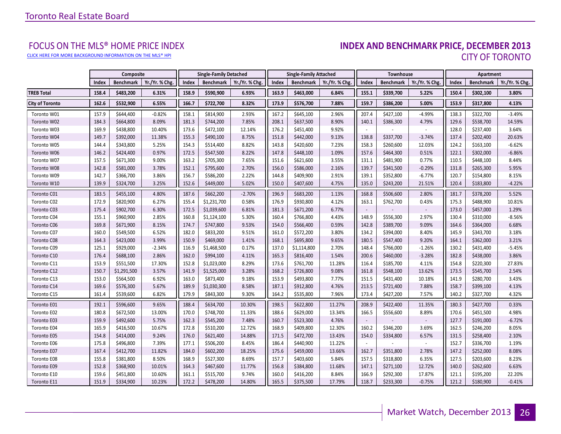[CLICK HERE FOR MORE BACKGROUND INFORMATION ON THE MLS® HPI](http://www.torontorealestateboard.com/market_news/home_price_index/index.htm)

# FOCUS ON THE MLS® HOME PRICE INDEX<br>**INDEX AND BENCHMARK PRICE, DECEMBER 2013** CITY OF TORONTO

|                        |       | <b>Composite</b> |                |       | <b>Single-Family Detached</b> |                |       | <b>Single-Family Attached</b> |                |        | Townhouse        |                |       | Apartment        |                |
|------------------------|-------|------------------|----------------|-------|-------------------------------|----------------|-------|-------------------------------|----------------|--------|------------------|----------------|-------|------------------|----------------|
|                        | Index | <b>Benchmark</b> | Yr./Yr. % Chg. | Index | <b>Benchmark</b>              | Yr./Yr. % Chg. | Index | <b>Benchmark</b>              | Yr./Yr. % Chg. | Index  | <b>Benchmark</b> | Yr./Yr. % Chg. | Index | <b>Benchmark</b> | Yr./Yr. % Chg. |
| <b>TREB Total</b>      | 158.4 | \$483,200        | 6.31%          | 158.9 | \$590,900                     | 6.93%          | 163.9 | \$463,000                     | 6.84%          | 155.1  | \$339,700        | 5.22%          | 150.4 | \$302,100        | 3.80%          |
| <b>City of Toronto</b> | 162.6 | \$532,900        | 6.55%          | 166.7 | \$722,700                     | 8.32%          | 173.9 | \$576,700                     | 7.88%          | 159.7  | \$386,200        | 5.00%          | 153.9 | \$317,800        | 4.13%          |
| Toronto W01            | 157.9 | \$644,400        | $-0.82%$       | 158.1 | \$814,900                     | 2.93%          | 167.2 | \$645,100                     | 2.96%          | 207.4  | \$427,100        | $-4.99%$       | 138.3 | \$322,700        | $-3.49%$       |
| Toronto W02            | 184.3 | \$664,800        | 8.09%          | 181.3 | \$744,200                     | 7.85%          | 208.1 | \$637,500                     | 8.90%          | 140.1  | \$386,300        | 4.79%          | 129.6 | \$538,700        | 14.59%         |
| Toronto W03            | 169.9 | \$438,800        | 10.40%         | 173.6 | \$472,100                     | 12.14%         | 176.2 | \$451,400                     | 9.92%          | $\sim$ |                  |                | 128.0 | \$237,400        | 3.64%          |
| Toronto W04            | 149.7 | \$392,000        | 11.38%         | 155.3 | \$490,100                     | 8.75%          | 151.8 | \$442,000                     | 9.13%          | 138.8  | \$337,700        | $-3.74%$       | 137.4 | \$202,400        | 20.63%         |
| Toronto W05            | 144.4 | \$343,800        | 5.25%          | 154.3 | \$514,400                     | 8.82%          | 143.8 | \$420,600                     | 7.23%          | 158.3  | \$260,600        | 12.03%         | 124.2 | \$163,100        | $-6.62%$       |
| Toronto W06            | 146.2 | \$424,400        | 0.97%          | 172.5 | \$547,500                     | 8.22%          | 147.8 | \$448,100                     | 1.09%          | 157.6  | \$464,300        | 0.51%          | 122.1 | \$302,000        | $-6.86%$       |
| Toronto W07            | 157.5 | \$671,300        | 9.00%          | 163.2 | \$705,300                     | 7.65%          | 151.6 | \$621,600                     | 3.55%          | 131.1  | \$481,900        | 0.77%          | 110.5 | \$448,100        | 8.44%          |
| Toronto W08            | 142.8 | \$581,000        | 3.78%          | 152.1 | \$795,600                     | 2.70%          | 156.0 | \$586,000                     | 2.16%          | 139.7  | \$341,500        | $-0.29%$       | 131.8 | \$265,300        | 5.95%          |
| Toronto W09            | 142.7 | \$366,700        | 3.86%          | 156.7 | \$586,200                     | 2.22%          | 144.8 | \$409,900                     | 2.91%          | 139.1  | \$352,800        | $-6.77%$       | 120.7 | \$154,800        | 8.15%          |
| Toronto W10            | 139.9 | \$324,700        | 3.25%          | 152.6 | \$449,000                     | 5.02%          | 150.0 | \$407,600                     | 4.75%          | 135.0  | \$243,200        | 21.51%         | 120.4 | \$183,800        | $-4.22%$       |
| Toronto C01            | 183.5 | \$455,100        | 4.80%          | 187.6 | \$662,200                     | $-2.70%$       | 196.9 | \$683,200                     | 1.13%          | 168.8  | \$506,600        | 2.80%          | 181.7 | \$378,200        | 5.52%          |
| Toronto C02            | 172.9 | \$820,900        | 6.27%          | 155.4 | \$1,231,700                   | 0.58%          | 176.9 | \$930,800                     | 4.12%          | 163.1  | \$762,700        | 0.43%          | 175.3 | \$488,900        | 10.81%         |
| Toronto C03            | 175.4 | \$902,700        | 6.30%          | 172.5 | \$1,039,600                   | 6.81%          | 181.3 | \$671,200                     | 6.77%          | $\sim$ |                  |                | 173.0 | \$457,000        | 1.29%          |
| Toronto C04            | 155.1 | \$960,900        | 2.85%          | 160.8 | \$1,124,100                   | 5.30%          | 160.4 | \$766,800                     | 4.43%          | 148.9  | \$556,300        | 2.97%          | 130.4 | \$310,000        | $-8.56%$       |
| Toronto C06            | 169.8 | \$671,900        | 8.15%          | 174.7 | \$747,800                     | 9.53%          | 154.0 | \$566,400                     | 0.59%          | 142.8  | \$389,700        | 9.09%          | 164.6 | \$364,000        | 6.68%          |
| Toronto C07            | 160.0 | \$549,500        | 6.52%          | 182.0 | \$833,200                     | 9.51%          | 161.0 | \$572,200                     | 3.80%          | 134.2  | \$394,000        | 8.40%          | 145.9 | \$343,700        | 3.18%          |
| Toronto C08            | 164.3 | \$423,000        | 3.99%          | 150.9 | \$469,000                     | 1.41%          | 168.1 | \$695,800                     | 9.65%          | 180.5  | \$547,400        | 9.20%          | 164.1 | \$362,000        | 3.21%          |
| Toronto C09            | 125.1 | \$929,000        | $-2.34%$       | 116.9 | \$1,468,500                   | 0.17%          | 137.0 | \$1,114,800                   | 2.70%          | 148.4  | \$766,000        | $-1.26%$       | 130.2 | \$431,400        | $-5.45%$       |
| Toronto C10            | 176.4 | \$688,100        | 2.86%          | 162.0 | \$994,100                     | 4.11%          | 165.3 | \$816,400                     | 1.54%          | 200.6  | \$460,000        | $-3.28%$       | 182.8 | \$438,000        | 3.86%          |
| Toronto C11            | 153.9 | \$551,500        | 17.30%         | 152.8 | \$1,023,000                   | 8.29%          | 173.6 | \$761,700                     | 11.28%         | 116.4  | \$185,700        | 4.11%          | 154.8 | \$220,300        | 27.83%         |
| Toronto C12            | 150.7 | \$1,291,500      | 3.57%          | 141.9 | \$1,525,000                   | 3.28%          | 168.2 | \$726,800                     | 9.08%          | 161.8  | \$548,100        | 13.62%         | 173.5 | \$545,700        | 2.54%          |
| Toronto C13            | 153.0 | \$564,500        | 6.92%          | 163.0 | \$873,400                     | 9.18%          | 153.9 | \$493,800                     | 7.77%          | 151.5  | \$431,400        | 10.18%         | 141.9 | \$280,700        | 3.43%          |
| Toronto C14            | 169.6 | \$576,300        | 5.67%          | 189.9 | \$1,030,300                   | 8.58%          | 187.1 | \$912,800                     | 4.76%          | 213.5  | \$721,400        | 7.88%          | 158.7 | \$399,100        | 4.13%          |
| Toronto C15            | 161.4 | \$539,600        | 6.82%          | 179.9 | \$843,300                     | 9.30%          | 164.2 | \$535,800                     | 7.96%          | 173.4  | \$427,200        | 7.57%          | 140.2 | \$327,700        | 4.32%          |
| Toronto E01            | 192.1 | \$596,600        | 9.65%          | 188.4 | \$634,700                     | 10.30%         | 198.5 | \$622,800                     | 11.27%         | 208.9  | \$422,400        | 11.35%         | 180.3 | \$427,700        | 0.33%          |
| Toronto E02            | 180.8 | \$672,500        | 13.00%         | 170.0 | \$748,700                     | 11.33%         | 188.6 | \$629,000                     | 13.34%         | 166.5  | \$556,600        | 8.89%          | 170.6 | \$451,500        | 4.98%          |
| Toronto E03            | 159.9 | \$492,600        | 5.75%          | 162.3 | \$545,200                     | 7.48%          | 160.7 | \$523,300                     | 4.76%          | $\sim$ |                  |                | 127.7 | \$191,000        | $-6.72%$       |
| Toronto E04            | 165.9 | \$416,500        | 10.67%         | 172.8 | \$510,200                     | 12.72%         | 168.9 | \$409,800                     | 12.30%         | 160.2  | \$346,200        | 3.69%          | 162.5 | \$246,200        | 8.05%          |
| Toronto E05            | 154.8 | \$414,000        | 9.24%          | 176.0 | \$621,400                     | 14.88%         | 171.5 | \$472,700                     | 13.43%         | 154.0  | \$334,800        | 6.57%          | 131.5 | \$258,400        | 2.10%          |
| Toronto E06            | 175.8 | \$496,800        | 7.39%          | 177.1 | \$506,200                     | 8.45%          | 186.4 | \$440,900                     | 11.22%         |        |                  |                | 152.7 | \$336,700        | 1.19%          |
| Toronto E07            | 167.4 | \$412,700        | 11.82%         | 184.0 | \$602,200                     | 18.25%         | 175.6 | \$459,000                     | 13.66%         | 162.7  | \$351,800        | 2.78%          | 147.2 | \$252,000        | 8.08%          |
| Toronto E08            | 155.8 | \$381,800        | 8.50%          | 168.9 | \$527,300                     | 8.69%          | 157.7 | \$403,600                     | 5.84%          | 157.5  | \$318,800        | 6.35%          | 127.5 | \$203,600        | 8.23%          |
| Toronto E09            | 152.8 | \$368,900        | 10.01%         | 164.3 | \$467,600                     | 11.77%         | 156.8 | \$384,800                     | 11.68%         | 147.1  | \$271,100        | 12.72%         | 140.0 | \$262,600        | 6.63%          |
| Toronto E10            | 159.6 | \$451,800        | 10.60%         | 161.1 | \$515,700                     | 9.74%          | 160.0 | \$416,200                     | 8.84%          | 166.9  | \$292,300        | 17.87%         | 121.1 | \$195,200        | 22.20%         |
| Toronto E11            | 151.9 | \$334,900        | 10.23%         | 172.2 | \$478,200                     | 14.80%         | 165.5 | \$375,500                     | 17.79%         | 118.7  | \$233,300        | $-0.75%$       | 121.2 | \$180,900        | $-0.41%$       |

**Page 3 July 2010**